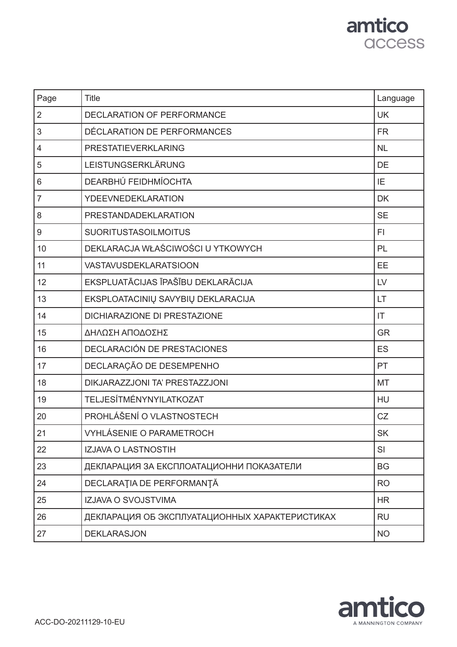### amtico access

| Page           | <b>Title</b>                                   | Language      |
|----------------|------------------------------------------------|---------------|
| $\overline{2}$ | <b>DECLARATION OF PERFORMANCE</b>              | <b>UK</b>     |
| 3              | DÉCLARATION DE PERFORMANCES                    | <b>FR</b>     |
| 4              | <b>PRESTATIEVERKLARING</b>                     | <b>NL</b>     |
| 5              | LEISTUNGSERKLÄRUNG                             | <b>DE</b>     |
| 6              | DEARBHÚ FEIDHMÍOCHTA                           | IE            |
| $\overline{7}$ | <b>YDEEVNEDEKLARATION</b>                      | <b>DK</b>     |
| 8              | PRESTANDADEKLARATION                           | <b>SE</b>     |
| 9              | <b>SUORITUSTASOILMOITUS</b>                    | FI.           |
| 10             | DEKLARACJA WŁAŚCIWOŚCI U YTKOWYCH              | PL            |
| 11             | <b>VASTAVUSDEKLARATSIOON</b>                   | EE            |
| 12             | EKSPLUATĀCIJAS ĪPAŠĪBU DEKLARĀCIJA             | $\mathsf{LV}$ |
| 13             | EKSPLOATACINIŲ SAVYBIŲ DEKLARACIJA             | <b>LT</b>     |
| 14             | DICHIARAZIONE DI PRESTAZIONE                   | IT            |
| 15             | ΔΗΛΩΣΗ ΑΠΟΔΟΣΗΣ                                | <b>GR</b>     |
| 16             | DECLARACIÓN DE PRESTACIONES                    | <b>ES</b>     |
| 17             | DECLARAÇÃO DE DESEMPENHO                       | PT            |
| 18             | DIKJARAZZJONI TA' PRESTAZZJONI                 | <b>MT</b>     |
| 19             | <b>TELJESÍTMÉNYNYILATKOZAT</b>                 | HU            |
| 20             | PROHLÁŠENÍ O VLASTNOSTECH                      | CZ            |
| 21             | VYHLÁSENIE O PARAMETROCH                       | SK            |
| 22             | IZJAVA O LASTNOSTIH                            | SI            |
| 23             | ДЕКЛАРАЦИЯ ЗА ЕКСПЛОАТАЦИОННИ ПОКАЗАТЕЛИ       | <b>BG</b>     |
| 24             | DECLARAȚIA DE PERFORMANȚĂ                      | <b>RO</b>     |
| 25             | IZJAVA O SVOJSTVIMA                            | <b>HR</b>     |
| 26             | ДЕКЛАРАЦИЯ ОБ ЭКСПЛУАТАЦИОННЫХ ХАРАКТЕРИСТИКАХ | <b>RU</b>     |
| 27             | <b>DEKLARASJON</b>                             | <b>NO</b>     |

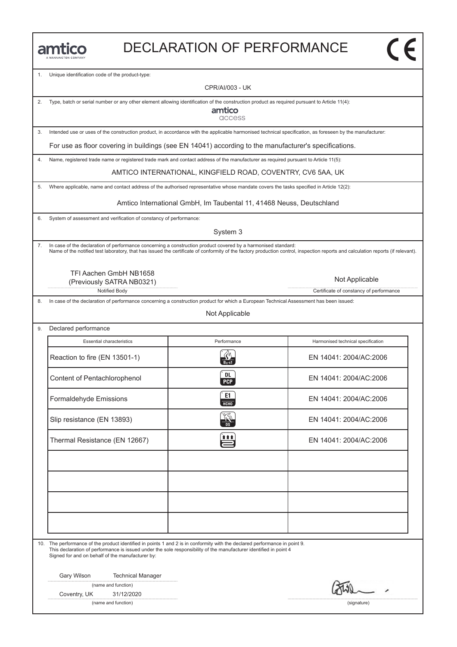| <b>JANNINGTON COMPANY</b> |
|---------------------------|

### DECLARATION OF PERFORMANCE

1. Unique identification code of the product-type:

CPR/AI/003 - UK

2. Type, batch or serial number or any other element allowing identification of the construction product as required pursuant to Article 11(4):

amtico access

3. Intended use or uses of the construction product, in accordance with the applicable harmonised technical specification, as foreseen by the manufacturer:

For use as floor covering in buildings (see EN 14041) according to the manufacturer's specifications.

4. Name, registered trade name or registered trade mark and contact address of the manufacturer as required pursuant to Article 11(5):

AMTICO INTERNATIONAL, KINGFIELD ROAD, COVENTRY, CV6 5AA, UK

5. Where applicable, name and contact address of the authorised representative whose mandate covers the tasks specified in Article 12(2):

Amtico International GmbH, Im Taubental 11, 41468 Neuss, Deutschland

6. System of assessment and verification of constancy of performance:

System 3

7. In case of the declaration of performance concerning a construction product covered by a harmonised standard: Name of the notified test laboratory, that has issued the certificate of conformity of the factory production control, inspection reports and calculation reports (if relevant).

TFI Aachen GmbH NB1658 (Previously SATRA NB0321)

Notified Body **Certificate of constancy of performance** 

8. In case of the declaration of performance concerning a construction product for which a European Technical Assessment has been issued:

Not Applicable

9. Declared performance

| <b>Essential characteristics</b> | Performance             | Harmonised technical specification |
|----------------------------------|-------------------------|------------------------------------|
| Reaction to fire (EN 13501-1)    |                         | EN 14041: 2004/AC:2006             |
| Content of Pentachlorophenol     | <b>DL</b><br><b>PCP</b> | EN 14041: 2004/AC:2006             |
| Formaldehyde Emissions           | E <sub>1</sub><br>НСНО  | EN 14041: 2004/AC:2006             |
| Slip resistance (EN 13893)       |                         | EN 14041: 2004/AC:2006             |
| Thermal Resistance (EN 12667)    | î î î                   | EN 14041: 2004/AC:2006             |
|                                  |                         |                                    |
|                                  |                         |                                    |
|                                  |                         |                                    |
|                                  |                         |                                    |

10. The performance of the product identified in points 1 and 2 is in conformity with the declared performance in point 9. This declaration of performance is issued under the sole responsibility of the manufacturer identified in point 4 Signed for and on behalf of the manufacturer by:

Gary Wilson Technical Manager

(name and function)

Coventry, UK 31/12/2020

(name and function) (signature)

Not Applicable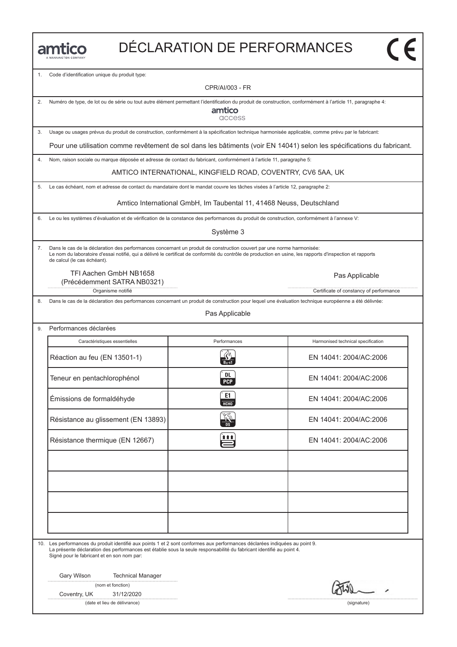|  |  |  | MANNINGTON COMPANY |  |
|--|--|--|--------------------|--|

 $\overline{\mathsf{c}\mathsf{c}}$ 

1. Code d'identification unique du produit type:

CPR/AI/003 - FR

2. Numéro de type, de lot ou de série ou tout autre élément permettant l'identification du produit de construction, conformément à l'article 11, paragraphe 4:

amtico access

3. Usage ou usages prévus du produit de construction, conformément à la spécification technique harmonisée applicable, comme prévu par le fabricant:

Pour une utilisation comme revêtement de sol dans les bâtiments (voir EN 14041) selon les spécifications du fabricant.

4. Nom, raison sociale ou marque déposée et adresse de contact du fabricant, conformément à l'article 11, paragraphe 5:

AMTICO INTERNATIONAL, KINGFIELD ROAD, COVENTRY, CV6 5AA, UK

5. Le cas échéant, nom et adresse de contact du mandataire dont le mandat couvre les tâches visées à l'article 12, paragraphe 2:

Amtico International GmbH, Im Taubental 11, 41468 Neuss, Deutschland

6. Le ou les systèmes d'évaluation et de vérification de la constance des performances du produit de construction, conformément à l'annexe V:

Système 3

7. Dans le cas de la déclaration des performances concernant un produit de construction couvert par une norme harmonisée: Le nom du laboratoire d'essai notifié, qui a délivré le certificat de conformité du contrôle de production en usine, les rapports d'inspection et rapports de calcul (le cas échéant).

TFI Aachen GmbH NB1658 (Précédemment SATRA NB0321)

Organisme notifié **Certificate of constancy of performance** Certificate of constancy of performance

Dans le cas de la déclaration des performances concernant un produit de construction pour lequel une évaluation technique européenne a été délivrée:

Pas Applicable

9. Performances déclarées Caractéristiques essentielles **Accessition** Performances **Harmonised technical specification** Caractéristiques essentielles<br>
Réaction au feu (EN 13501-1)  $\frac{R}{2\pi\epsilon}$ <br>
Réaction au feu (EN 13501-1) EN 14041: 2004/AC:2006 Réaction au feu (EN 13501-1)<br>
Teneur en pentachlorophénol (EN 14041: 2004/AC:2006)<br>
Teneur en pentachlorophénol (EN 14041: 2004/AC:2006) Emissions de formaldéhyde<br>
Emissions de formaldéhyde<br>
C EN 14041: 2004/AC:2006 Emissions de formaldehyde<br>
EN 14041: 2004/AC:2006<br>
Résistance au glissement (EN 13893)<br>
EN 14041: 2004/AC:2006 Résistance au glissement (EN 13893)<br>
Résistance thermique (EN 12667)<br>
EN 14041: 2004/AC:2006 10. Les performances du produit identifié aux points 1 et 2 sont conformes aux performances déclarées indiquées au point 9.

La présente déclaration des performances est établie sous la seule responsabilité du fabricant identifié au point 4. Signé pour le fabricant et en son nom par:

Gary Wilson Technical Manager

(nom et fonction)

Coventry, UK 31/12/2020

(date et lieu de délivrance) (signature)

Pas Applicable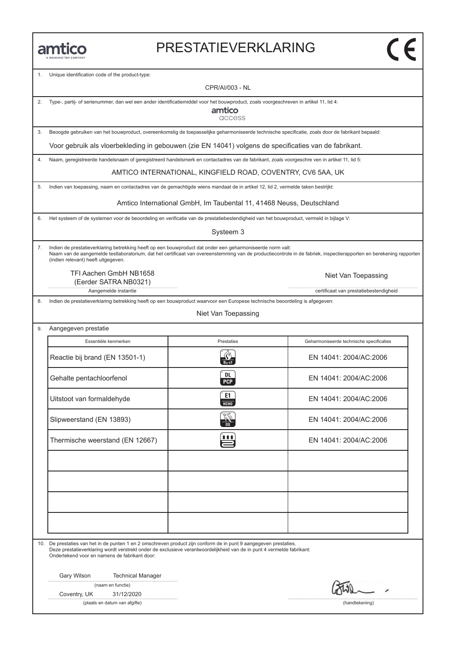#### PRESTATIEVERKLARING

Unique identification code of the product-type:

CPR/AI/003 - NL

2. Type-, partij- of serienummer, dan wel een ander identificatiemiddel voor het bouwproduct, zoals voorgeschreven in artikel 11, lid 4:

amtico access

3. Beoogde gebruiken van het bouwproduct, overeenkomstig de toepasselijke geharmoniseerde technische specificatie, zoals door de fabrikant bepaald:

Voor gebruik als vloerbekleding in gebouwen (zie EN 14041) volgens de specificaties van de fabrikant.

4. Naam, geregistreerde handelsnaam of geregistreerd handelsmerk en contactadres van de fabrikant, zoals voorgeschre ven in artikel 11, lid 5:

AMTICO INTERNATIONAL, KINGFIELD ROAD, COVENTRY, CV6 5AA, UK

5. Indien van toepassing, naam en contactadres van de gemachtigde wiens mandaat de in artikel 12, lid 2, vermelde taken bestrijkt:

Amtico International GmbH, Im Taubental 11, 41468 Neuss, Deutschland

6. Het systeem of de systemen voor de beoordeling en verificatie van de prestatiebestendigheid van het bouwproduct, vermeld in bijlage V:

Systeem 3

7. Indien de prestatieverklaring betrekking heeft op een bouwproduct dat onder een geharmoniseerde norm valt: Naam van de aangemelde testlaboratorium, dat het certificaat van overeenstemming van de productiecontrole in de fabriek, inspectierapporten en berekening rapporten (indien relevant) heeft uitgegeven.

TFI Aachen GmbH NB1658 Niet Van Toepassing (Eerder SATRA NB0321)

Aangemelde instantie certificaat van prestatiebestendigheid

8. Indien de prestatieverklaring betrekking heeft op een bouwproduct waarvoor een Europese technische beoordeling is afgegeven:

#### Niet Van Toepassing

| Aangegeven prestatie<br>9. |  |
|----------------------------|--|
|----------------------------|--|

| Essentiële kenmerken            | Prestaties        | Geharmoniseerde technische specificaties |
|---------------------------------|-------------------|------------------------------------------|
| Reactie bij brand (EN 13501-1)  | $B0$ -s1          | EN 14041: 2004/AC:2006                   |
| Gehalte pentachloorfenol        | DL.<br><b>PCP</b> | EN 14041: 2004/AC:2006                   |
| Uitstoot van formaldehyde       | E1<br>НСНО        | EN 14041: 2004/AC:2006                   |
| Slipweerstand (EN 13893)        |                   | EN 14041: 2004/AC:2006                   |
| Thermische weerstand (EN 12667) | ₩                 | EN 14041: 2004/AC:2006                   |
|                                 |                   |                                          |
|                                 |                   |                                          |
|                                 |                   |                                          |
|                                 |                   |                                          |

10. De prestaties van het in de punten 1 en 2 omschreven product zijn conform de in punt 9 aangegeven prestaties. Deze prestatieverklaring wordt verstrekt onder de exclusieve verantwoordelijkheid van de in punt 4 vermelde fabrikant: Ondertekend voor en namens de fabrikant door:

Gary Wilson Technical Manager

|  |  | (naam en functie) |
|--|--|-------------------|
|--|--|-------------------|

Coventry, UK 31/12/2020

(plaats en datum van afgifte) (handtekening)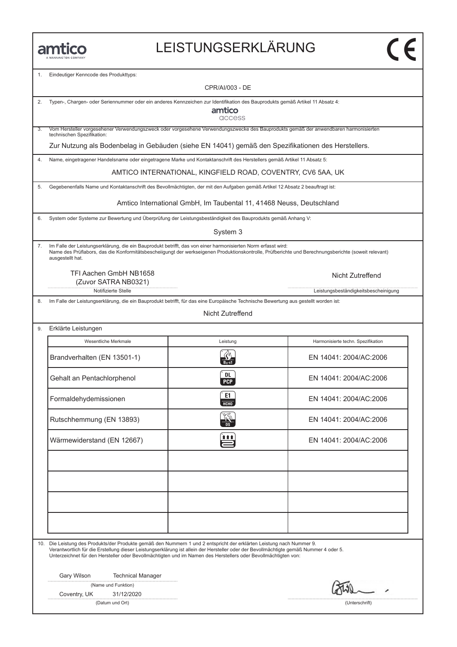$\overline{9}$ .

## LEISTUNGSERKLÄRUNG

1. Eindeutiger Kenncode des Produkttyps:

|     | CPR/AI/003 - DE                                                                                                                                   |                                                                                                                                                                                                                                                                                                                                                                              |                                      |  |  |
|-----|---------------------------------------------------------------------------------------------------------------------------------------------------|------------------------------------------------------------------------------------------------------------------------------------------------------------------------------------------------------------------------------------------------------------------------------------------------------------------------------------------------------------------------------|--------------------------------------|--|--|
| 2.  | Typen-, Chargen- oder Seriennummer oder ein anderes Kennzeichen zur Identifikation des Bauprodukts gemäß Artikel 11 Absatz 4:<br>amtico<br>access |                                                                                                                                                                                                                                                                                                                                                                              |                                      |  |  |
| 3.  | technischen Spezifikation:                                                                                                                        | Vom Hersteller vorgesehener Verwendungszweck oder vorgesehene Verwendungszwecke des Bauprodukts gemäß der anwendbaren harmonisierten                                                                                                                                                                                                                                         |                                      |  |  |
|     |                                                                                                                                                   | Zur Nutzung als Bodenbelag in Gebäuden (siehe EN 14041) gemäß den Spezifikationen des Herstellers.                                                                                                                                                                                                                                                                           |                                      |  |  |
| 4.  |                                                                                                                                                   | Name, eingetragener Handelsname oder eingetragene Marke und Kontaktanschrift des Herstellers gemäß Artikel 11 Absatz 5:                                                                                                                                                                                                                                                      |                                      |  |  |
|     |                                                                                                                                                   | AMTICO INTERNATIONAL, KINGFIELD ROAD, COVENTRY, CV6 5AA, UK                                                                                                                                                                                                                                                                                                                  |                                      |  |  |
| 5.  |                                                                                                                                                   | Gegebenenfalls Name und Kontaktanschrift des Bevollmächtigten, der mit den Aufgaben gemäß Artikel 12 Absatz 2 beauftragt ist:                                                                                                                                                                                                                                                |                                      |  |  |
|     |                                                                                                                                                   | Amtico International GmbH, Im Taubental 11, 41468 Neuss, Deutschland                                                                                                                                                                                                                                                                                                         |                                      |  |  |
| 6.  |                                                                                                                                                   | System oder Systeme zur Bewertung und Überprüfung der Leistungsbeständigkeit des Bauprodukts gemäß Anhang V:                                                                                                                                                                                                                                                                 |                                      |  |  |
|     |                                                                                                                                                   | System 3                                                                                                                                                                                                                                                                                                                                                                     |                                      |  |  |
| 7.  | ausgestellt hat.                                                                                                                                  | Im Falle der Leistungserklärung, die ein Bauprodukt betrifft, das von einer harmonisierten Norm erfasst wird:<br>Name des Prüflabors, das die Konformitätsbescheiigungt der werkseigenen Produktionskontrolle, Prüfberichte und Berechnungsberichte (soweit relevant)                                                                                                        |                                      |  |  |
|     | TFI Aachen GmbH NB1658<br>(Zuvor SATRA NB0321)                                                                                                    |                                                                                                                                                                                                                                                                                                                                                                              | Nicht Zutreffend                     |  |  |
|     | Notifizierte Stelle                                                                                                                               |                                                                                                                                                                                                                                                                                                                                                                              | Leistungsbeständigkeitsbescheinigung |  |  |
| 8.  |                                                                                                                                                   | Im Falle der Leistungserklärung, die ein Bauprodukt betrifft, für das eine Europäische Technische Bewertung aus gestellt worden ist:<br>Nicht Zutreffend                                                                                                                                                                                                                     |                                      |  |  |
|     |                                                                                                                                                   |                                                                                                                                                                                                                                                                                                                                                                              |                                      |  |  |
| 9.  | Erklärte Leistungen                                                                                                                               |                                                                                                                                                                                                                                                                                                                                                                              |                                      |  |  |
|     | Wesentliche Merkmale                                                                                                                              | Leistung                                                                                                                                                                                                                                                                                                                                                                     | Harmonisierte techn. Spezifikation   |  |  |
|     | Brandverhalten (EN 13501-1)                                                                                                                       |                                                                                                                                                                                                                                                                                                                                                                              | EN 14041: 2004/AC:2006               |  |  |
|     | Gehalt an Pentachlorphenol                                                                                                                        | DL<br><b>PCP</b>                                                                                                                                                                                                                                                                                                                                                             | EN 14041: 2004/AC:2006               |  |  |
|     | Formaldehydemissionen                                                                                                                             | E1<br><b>HCHO</b>                                                                                                                                                                                                                                                                                                                                                            | EN 14041: 2004/AC:2006               |  |  |
|     | Rutschhemmung (EN 13893)                                                                                                                          | K<br><b>DS</b>                                                                                                                                                                                                                                                                                                                                                               | EN 14041: 2004/AC:2006               |  |  |
|     | Wärmewiderstand (EN 12667)                                                                                                                        | <b>111</b>                                                                                                                                                                                                                                                                                                                                                                   | EN 14041: 2004/AC:2006               |  |  |
|     |                                                                                                                                                   |                                                                                                                                                                                                                                                                                                                                                                              |                                      |  |  |
|     |                                                                                                                                                   |                                                                                                                                                                                                                                                                                                                                                                              |                                      |  |  |
|     |                                                                                                                                                   |                                                                                                                                                                                                                                                                                                                                                                              |                                      |  |  |
|     |                                                                                                                                                   |                                                                                                                                                                                                                                                                                                                                                                              |                                      |  |  |
| 10. |                                                                                                                                                   | Die Leistung des Produkts/der Produkte gemäß den Nummern 1 und 2 entspricht der erklärten Leistung nach Nummer 9.<br>Verantwortlich für die Erstellung dieser Leistungserklärung ist allein der Hersteller oder der Bevollmächtigte gemäß Nummer 4 oder 5.<br>Unterzeichnet für den Hersteller oder Bevollmächtigten und im Namen des Herstellers oder Bevollmächtigten von: |                                      |  |  |
|     | Gary Wilson<br><b>Technical Manager</b>                                                                                                           |                                                                                                                                                                                                                                                                                                                                                                              |                                      |  |  |
|     | (Name und Funktion)                                                                                                                               |                                                                                                                                                                                                                                                                                                                                                                              |                                      |  |  |
|     | 31/12/2020<br>Coventry, UK<br>(Datum und Ort)                                                                                                     |                                                                                                                                                                                                                                                                                                                                                                              | (Unterschrift)                       |  |  |
|     |                                                                                                                                                   |                                                                                                                                                                                                                                                                                                                                                                              |                                      |  |  |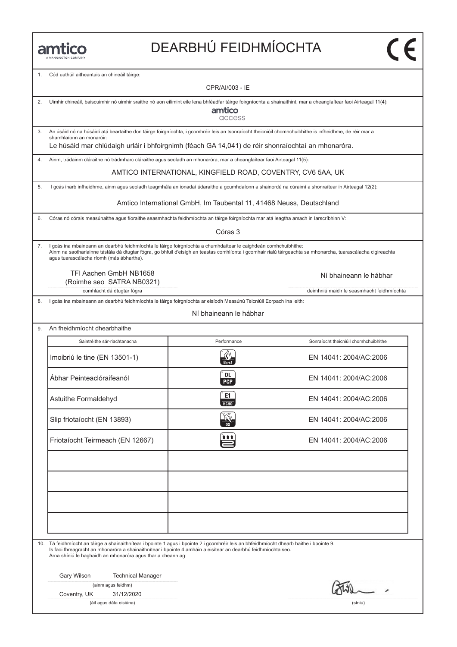# DEARBHÚ FEIDHMÍOCHTA

1. Cód uathúil aitheantais an chineáil táirge:

|    | CPR/AI/003 - IE                                                                                                                                                                                                                                                                                                              |                                                                      |                                            |  |  |  |  |
|----|------------------------------------------------------------------------------------------------------------------------------------------------------------------------------------------------------------------------------------------------------------------------------------------------------------------------------|----------------------------------------------------------------------|--------------------------------------------|--|--|--|--|
| 2. | Uimhir chineáil, baiscuimhir nó uimhir sraithe nó aon eilimint eile lena bhféadfar táirge foirgníochta a shainaithint, mar a cheanglaítear faoi Airteagal 11(4):<br>amtico<br>access                                                                                                                                         |                                                                      |                                            |  |  |  |  |
| 3. | An úsáid nó na húsáidí atá beartaithe don táirge foirgníochta, i gcomhréir leis an tsonraíocht theicniúil chomhchuibhithe is infheidhme, de réir mar a                                                                                                                                                                       |                                                                      |                                            |  |  |  |  |
|    | shamhlaíonn an monaróir:<br>Le húsáid mar chlúdaigh urláir i bhfoirgnimh (féach GA 14,041) de réir shonraíochtaí an mhonaróra.                                                                                                                                                                                               |                                                                      |                                            |  |  |  |  |
| 4. | Ainm, trádainm cláraithe nó trádmharc cláraithe agus seoladh an mhonaróra, mar a cheanglaítear faoi Airteagal 11(5):                                                                                                                                                                                                         |                                                                      |                                            |  |  |  |  |
|    |                                                                                                                                                                                                                                                                                                                              | AMTICO INTERNATIONAL, KINGFIELD ROAD, COVENTRY, CV6 5AA, UK          |                                            |  |  |  |  |
| 5. | I gcás inarb infheidhme, ainm agus seoladh teagmhála an ionadaí údaraithe a gcumhdaíonn a shainordú na cúraimí a shonraítear in Airteagal 12(2):                                                                                                                                                                             |                                                                      |                                            |  |  |  |  |
|    |                                                                                                                                                                                                                                                                                                                              | Amtico International GmbH, Im Taubental 11, 41468 Neuss, Deutschland |                                            |  |  |  |  |
| 6. | Córas nó córais measúnaithe agus fíoraithe seasmhachta feidhmíochta an táirge foirgníochta mar atá leagtha amach in Iarscríbhinn V:                                                                                                                                                                                          |                                                                      |                                            |  |  |  |  |
|    |                                                                                                                                                                                                                                                                                                                              | Córas 3                                                              |                                            |  |  |  |  |
| 7. | I gcás ina mbaineann an dearbhú feidhmíochta le táirge foirgníochta a chumhdaítear le caighdeán comhchuibhithe:<br>Ainm na saotharlainne tástála dá dtugtar fógra, go bhfuil d'eisigh an teastas comhlíonta i gcomhair rialú táirgeachta sa mhonarcha, tuarascálacha cigireachta<br>agus tuarascálacha ríomh (más ábhartha). |                                                                      |                                            |  |  |  |  |
|    | TFI Aachen GmbH NB1658<br>(Roimhe seo SATRA NB0321)                                                                                                                                                                                                                                                                          |                                                                      | Ní bhaineann le hábhar                     |  |  |  |  |
|    | comhlacht dá dtugtar fógra                                                                                                                                                                                                                                                                                                   |                                                                      | deimhniú maidir le seasmhacht feidhmíochta |  |  |  |  |
| 8. | I gcás ina mbaineann an dearbhú feidhmíochta le táirge foirgníochta ar eisíodh Measúnú Teicniúil Eorpach ina leith:                                                                                                                                                                                                          |                                                                      |                                            |  |  |  |  |
|    |                                                                                                                                                                                                                                                                                                                              | Ní bhaineann le hábhar                                               |                                            |  |  |  |  |
| 9. | An fheidhmíocht dhearbhaithe                                                                                                                                                                                                                                                                                                 |                                                                      |                                            |  |  |  |  |
|    | Saintréithe sár-riachtanacha                                                                                                                                                                                                                                                                                                 | Performance                                                          | Sonraíocht theicniúil chomhchuibhithe      |  |  |  |  |
|    | Imoibriú le tine (EN 13501-1)                                                                                                                                                                                                                                                                                                | $B_{II}$ -s1                                                         | EN 14041: 2004/AC:2006                     |  |  |  |  |
|    | Ábhar Peinteaclóraifeanól                                                                                                                                                                                                                                                                                                    | DL<br><b>PCP</b>                                                     | EN 14041: 2004/AC:2006                     |  |  |  |  |
|    | Astuithe Formaldehyd                                                                                                                                                                                                                                                                                                         | E1<br><b>HCHO</b>                                                    | EN 14041: 2004/AC:2006                     |  |  |  |  |
|    | Slip friotaíocht (EN 13893)                                                                                                                                                                                                                                                                                                  | DS                                                                   | EN 14041: 2004/AC:2006                     |  |  |  |  |
|    | Friotaíocht Teirmeach (EN 12667)                                                                                                                                                                                                                                                                                             | ■■1                                                                  | EN 14041: 2004/AC:2006                     |  |  |  |  |
|    |                                                                                                                                                                                                                                                                                                                              |                                                                      |                                            |  |  |  |  |
|    |                                                                                                                                                                                                                                                                                                                              |                                                                      |                                            |  |  |  |  |
|    | 10. Tá feidhmíocht an táirge a shainaithnítear i bpointe 1 agus i bpointe 2 i gcomhréir leis an bhfeidhmíocht dhearb haithe i bpointe 9.<br>Is faoi fhreagracht an mhonaróra a shainaithnítear i bpointe 4 amháin a eisítear an dearbhú feidhmíochta seo.<br>Arna shíniú le haghaidh an mhonaróra agus thar a cheann ag:     |                                                                      |                                            |  |  |  |  |
|    | Gary Wilson<br><b>Technical Manager</b>                                                                                                                                                                                                                                                                                      |                                                                      |                                            |  |  |  |  |
|    | (ainm agus feidhm)                                                                                                                                                                                                                                                                                                           |                                                                      |                                            |  |  |  |  |
|    | Coventry, UK<br>31/12/2020<br>(áit agus dáta eisiúna)                                                                                                                                                                                                                                                                        |                                                                      | (síniú)                                    |  |  |  |  |
|    |                                                                                                                                                                                                                                                                                                                              |                                                                      |                                            |  |  |  |  |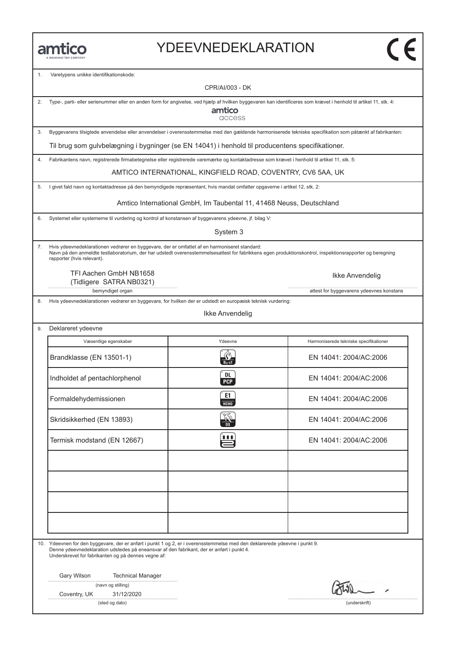### YDEEVNEDEKLARATION

nedentifikationskode:<br>sunikke identifikationskode:

|    |                                                                                                                                                                                                                                                                                | <b>CPR/AI/003 - DK</b>                                               |                                                                                                                                                          |  |  |
|----|--------------------------------------------------------------------------------------------------------------------------------------------------------------------------------------------------------------------------------------------------------------------------------|----------------------------------------------------------------------|----------------------------------------------------------------------------------------------------------------------------------------------------------|--|--|
| 2. | Type-, parti- eller serienummer eller en anden form for angivelse, ved hjælp af hvilken byggevaren kan identificeres som krævet i henhold til artikel 11, stk. 4:<br>amtico<br>access                                                                                          |                                                                      |                                                                                                                                                          |  |  |
| 3. |                                                                                                                                                                                                                                                                                |                                                                      | Byggevarens tilsigtede anvendelse eller anvendelser i overensstemmelse med den gældende harmoniserede tekniske specifikation som påtænkt af fabrikanten: |  |  |
|    | Til brug som gulvbelægning i bygninger (se EN 14041) i henhold til producentens specifikationer.                                                                                                                                                                               |                                                                      |                                                                                                                                                          |  |  |
| 4. | Fabrikantens navn, registrerede firmabetegnelse eller registrerede varemærke og kontaktadresse som krævet i henhold til artikel 11, stk. 5:                                                                                                                                    |                                                                      |                                                                                                                                                          |  |  |
|    |                                                                                                                                                                                                                                                                                | AMTICO INTERNATIONAL, KINGFIELD ROAD, COVENTRY, CV6 5AA, UK          |                                                                                                                                                          |  |  |
| 5. | I givet fald navn og kontaktadresse på den bemyndigede repræsentant, hvis mandat omfatter opgaverne i artikel 12, stk. 2:                                                                                                                                                      |                                                                      |                                                                                                                                                          |  |  |
|    |                                                                                                                                                                                                                                                                                | Amtico International GmbH, Im Taubental 11, 41468 Neuss, Deutschland |                                                                                                                                                          |  |  |
| 6. | Systemet eller systemerne til vurdering og kontrol af konstansen af byggevarens ydeevne, jf. bilag V:                                                                                                                                                                          |                                                                      |                                                                                                                                                          |  |  |
|    |                                                                                                                                                                                                                                                                                | System 3                                                             |                                                                                                                                                          |  |  |
| 7. | Hvis ydeevnedeklarationen vedrører en byggevare, der er omfattet af en harmoniseret standard:<br>rapporter (hvis relevant).                                                                                                                                                    |                                                                      | Navn på den anmeldte testlaboratorium, der har udstedt overensstemmelsesattest for fabrikkens egen produktionskontrol, inspektionsrapporter og beregning |  |  |
|    | TFI Aachen GmbH NB1658<br>(Tidligere SATRA NB0321)                                                                                                                                                                                                                             |                                                                      | Ikke Anvendelig                                                                                                                                          |  |  |
|    | bemyndiget organ                                                                                                                                                                                                                                                               |                                                                      | attest for byggevarens ydeevnes konstans                                                                                                                 |  |  |
| 8. | Hvis ydeevnedeklarationen vedrører en byggevare, for hvilken der er udstedt en europæisk teknisk vurdering:                                                                                                                                                                    | Ikke Anvendelig                                                      |                                                                                                                                                          |  |  |
| 9. | Deklareret ydeevne                                                                                                                                                                                                                                                             |                                                                      |                                                                                                                                                          |  |  |
|    | Væsentlige egenskaber                                                                                                                                                                                                                                                          | Ydeevne                                                              | Harmoniserede tekniske specifikationer                                                                                                                   |  |  |
|    | Brandklasse (EN 13501-1)                                                                                                                                                                                                                                                       | $B_{fl}$ -s1                                                         | EN 14041: 2004/AC:2006                                                                                                                                   |  |  |
|    | Indholdet af pentachlorphenol                                                                                                                                                                                                                                                  | DL<br><b>PCP</b>                                                     | EN 14041: 2004/AC:2006                                                                                                                                   |  |  |
|    | Formaldehydemissionen                                                                                                                                                                                                                                                          | E1<br><b>HCHO</b>                                                    | EN 14041: 2004/AC:2006                                                                                                                                   |  |  |
|    | Skridsikkerhed (EN 13893)                                                                                                                                                                                                                                                      | K<br>DS                                                              | EN 14041: 2004/AC:2006                                                                                                                                   |  |  |
|    | Termisk modstand (EN 12667)                                                                                                                                                                                                                                                    |                                                                      | EN 14041: 2004/AC:2006                                                                                                                                   |  |  |
|    |                                                                                                                                                                                                                                                                                |                                                                      |                                                                                                                                                          |  |  |
|    |                                                                                                                                                                                                                                                                                |                                                                      |                                                                                                                                                          |  |  |
|    | 10. Ydeevnen for den byggevare, der er anført i punkt 1 og 2, er i overensstemmelse med den deklarerede ydeevne i punkt 9.<br>Denne ydeevnedeklaration udstedes på eneansvar af den fabrikant, der er anført i punkt 4.<br>Underskrevet for fabrikanten og på dennes vegne af: |                                                                      |                                                                                                                                                          |  |  |
|    | Gary Wilson<br><b>Technical Manager</b><br>(navn og stilling)<br>31/12/2020<br>Coventry, UK                                                                                                                                                                                    |                                                                      |                                                                                                                                                          |  |  |
|    | (sted og dato)                                                                                                                                                                                                                                                                 |                                                                      | (underskrift)                                                                                                                                            |  |  |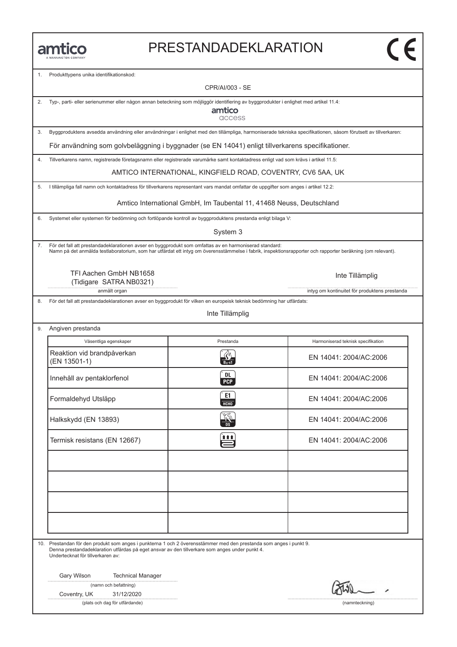#### PRESTANDADEKLARATION

Produkttypens unika identifikationskod:

CPR/AI/003 - SE 2. Typ-, parti- eller serienummer eller någon annan beteckning som möjliggör identifiering av byggprodukter i enlighet med artikel 11.4: amtico access 3. Byggproduktens avsedda användning eller användningar i enlighet med den tillämpliga, harmoniserade tekniska specifikationen, såsom förutsett av tillverkaren: För användning som golvbeläggning i byggnader (se EN 14041) enligt tillverkarens specifikationer. 4. Tillverkarens namn, registrerade företagsnamn eller registrerade varumärke samt kontaktadress enligt vad som krävs i artikel 11.5: AMTICO INTERNATIONAL, KINGFIELD ROAD, COVENTRY, CV6 5AA, UK 5. I tillämpliga fall namn och kontaktadress för tillverkarens representant vars mandat omfattar de uppgifter som anges i artikel 12.2: Amtico International GmbH, Im Taubental 11, 41468 Neuss, Deutschland6. Systemet eller systemen för bedömning och fortlöpande kontroll av byggproduktens prestanda enligt bilaga V: System 3 7. För det fall att prestandadeklarationen avser en byggprodukt som omfattas av en harmoniserad standard: Namn på det anmälda testlaboratorium, som har utfärdat ett intyg om överensstämmelse i fabrik, inspektionsrapporter och rapporter beräkning (om relevant). TFI Aachen GmbH NB1658 Inte Tillämplig (Tidigare SATRA NB0321) anmält organ intyg om kontinuitet för produktens prestanda 8. För det fall att prestandadeklarationen avser en byggprodukt för vilken en europeisk teknisk bedömning har utfärdats: Inte Tillämplig 9. Angiven prestanda Väsentliga egenskaper Prestanda Harmoniserad teknisk specifikation<br>Reaktion vid brandpåverkan (EN 13501-1) EN 14041: 2004/AC:2006 Väsentliga egenskaper **Prestanda** Harmoniserad teknisk specifikation Reaktion vid brandpåverkan EN 14041: 2004/AC:2006<br>
Innehåll av pentaklorfenol (EN 13501-1)<br>
EN 14041: 2004/AC:2006 Innehåll av pentaklorienol (1999) och EN 14041: 2004/AC:2006<br>Formaldehyd Utsläpp (1999) och EN 14041: 2004/AC:2006 EN 14041: 2004/AC:2006<br>
Halkskydd (EN 13893)<br>
Halkskydd (EN 13893) Halkskydd (EN 13893)<br>
Termisk resistans (EN 12667)<br>
Termisk resistans (EN 12667) 10. Prestandan för den produkt som anges i punkterna 1 och 2 överensstämmer med den prestanda som anges i punkt 9. Denna prestandadeklaration utfärdas på eget ansvar av den tillverkare som anges under punkt 4. Undertecknat för tillverkaren av: Gary Wilson Technical Manager (namn och befattning) Coventry, UK 31/12/2020 (plats och dag för utfärdande) (namnteckning)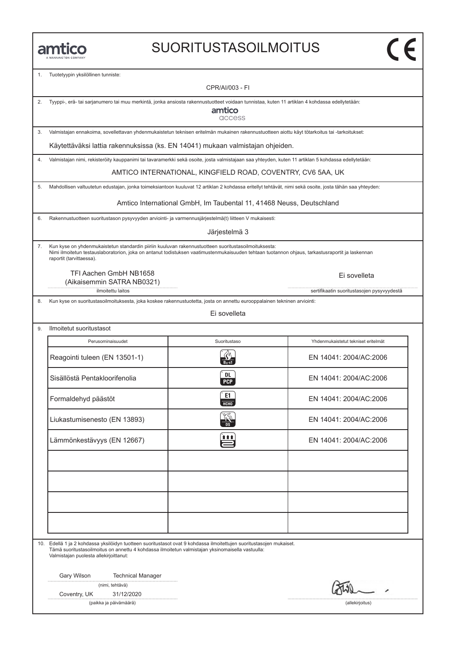### SUORITUSTASOILMOITUS

1. Tuotetyypin yksilöllinen tunniste:

| ъ. | Tuotetyypin yksilöilinen tunniste:                                                                                                                                                                                                                                                   | CPR/AI/003 - FI                                                      |                                            |  |  |
|----|--------------------------------------------------------------------------------------------------------------------------------------------------------------------------------------------------------------------------------------------------------------------------------------|----------------------------------------------------------------------|--------------------------------------------|--|--|
| 2. | Tyyppi-, erä- tai sarjanumero tai muu merkintä, jonka ansiosta rakennustuotteet voidaan tunnistaa, kuten 11 artiklan 4 kohdassa edellytetään:<br>amtico                                                                                                                              |                                                                      |                                            |  |  |
|    | access                                                                                                                                                                                                                                                                               |                                                                      |                                            |  |  |
| 3. | Valmistajan ennakoima, sovellettavan yhdenmukaistetun teknisen eritelmän mukainen rakennustuotteen aiottu käyt tötarkoitus tai -tarkoitukset:                                                                                                                                        |                                                                      |                                            |  |  |
|    | Käytettäväksi lattia rakennuksissa (ks. EN 14041) mukaan valmistajan ohjeiden.                                                                                                                                                                                                       |                                                                      |                                            |  |  |
| 4. | Valmistajan nimi, rekisteröity kauppanimi tai tavaramerkki sekä osoite, josta valmistajaan saa yhteyden, kuten 11 artiklan 5 kohdassa edellytetään:                                                                                                                                  |                                                                      |                                            |  |  |
|    |                                                                                                                                                                                                                                                                                      | AMTICO INTERNATIONAL, KINGFIELD ROAD, COVENTRY, CV6 5AA, UK          |                                            |  |  |
| 5. | Mahdollisen valtuutetun edustajan, jonka toimeksiantoon kuuluvat 12 artiklan 2 kohdassa eritellyt tehtävät, nimi sekä osoite, josta tähän saa yhteyden:                                                                                                                              |                                                                      |                                            |  |  |
|    |                                                                                                                                                                                                                                                                                      | Amtico International GmbH, Im Taubental 11, 41468 Neuss, Deutschland |                                            |  |  |
| 6. | Rakennustuotteen suoritustason pysyvyyden arviointi- ja varmennusjärjestelmä(t) liitteen V mukaisesti:                                                                                                                                                                               |                                                                      |                                            |  |  |
|    |                                                                                                                                                                                                                                                                                      | Järjestelmä 3                                                        |                                            |  |  |
| 7. | Kun kyse on yhdenmukaistetun standardin piiriin kuuluvan rakennustuotteen suoritustasoilmoituksesta:<br>Nimi ilmoitetun testauslaboratorion, joka on antanut todistuksen vaatimustenmukaisuuden tehtaan tuotannon ohjaus, tarkastusraportit ja laskennan<br>raportit (tarvittaessa). |                                                                      |                                            |  |  |
|    | TFI Aachen GmbH NB1658<br>(Aikaisemmin SATRA NB0321)                                                                                                                                                                                                                                 |                                                                      | Ei sovelleta                               |  |  |
|    | ilmoitettu laitos                                                                                                                                                                                                                                                                    |                                                                      | sertifikaatin suoritustasojen pysyvyydestä |  |  |
| 8. | Kun kyse on suoritustasoilmoituksesta, joka koskee rakennustuotetta, josta on annettu eurooppalainen tekninen arviointi:                                                                                                                                                             |                                                                      |                                            |  |  |
|    |                                                                                                                                                                                                                                                                                      | Ei sovelleta                                                         |                                            |  |  |
| 9. | Ilmoitetut suoritustasot                                                                                                                                                                                                                                                             |                                                                      |                                            |  |  |
|    | Perusominaisuudet                                                                                                                                                                                                                                                                    | Suoritustaso                                                         | Yhdenmukaistetut tekniset eritelmät        |  |  |
|    | Reagointi tuleen (EN 13501-1)                                                                                                                                                                                                                                                        | $B_{fl}$ -s1                                                         | EN 14041: 2004/AC:2006                     |  |  |
|    | Sisällöstä Pentakloorifenolia                                                                                                                                                                                                                                                        | DL<br><b>PCP</b>                                                     | EN 14041: 2004/AC:2006                     |  |  |
|    | Formaldehyd päästöt                                                                                                                                                                                                                                                                  | E1<br><b>HCHO</b>                                                    | EN 14041: 2004/AC:2006                     |  |  |
|    | Liukastumisenesto (EN 13893)                                                                                                                                                                                                                                                         | <b>AND</b>                                                           | EN 14041: 2004/AC:2006                     |  |  |
|    | Lämmönkestävyys (EN 12667)                                                                                                                                                                                                                                                           | 自自自                                                                  | EN 14041: 2004/AC:2006                     |  |  |
|    |                                                                                                                                                                                                                                                                                      |                                                                      |                                            |  |  |
|    |                                                                                                                                                                                                                                                                                      |                                                                      |                                            |  |  |
|    |                                                                                                                                                                                                                                                                                      |                                                                      |                                            |  |  |
|    | 10. Edellä 1 ja 2 kohdassa yksilöidyn tuotteen suoritustasot ovat 9 kohdassa ilmoitettujen suoritustasojen mukaiset.<br>Tämä suoritustasoilmoitus on annettu 4 kohdassa ilmoitetun valmistajan yksinomaisella vastuulla:<br>Valmistajan puolesta allekirjoittanut:                   |                                                                      |                                            |  |  |
|    | Gary Wilson<br><b>Technical Manager</b>                                                                                                                                                                                                                                              |                                                                      |                                            |  |  |
|    | (nimi, tehtävä)                                                                                                                                                                                                                                                                      |                                                                      |                                            |  |  |
|    | Coventry, UK<br>31/12/2020<br>(paikka ja päivämäärä)                                                                                                                                                                                                                                 |                                                                      | (allekirjoitus)                            |  |  |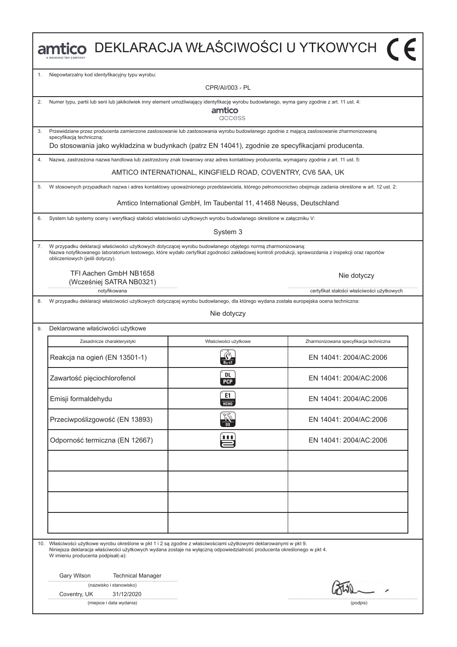|    | mtico DEKLARACJA WŁAŚCIWOŚCI U YTKOWYCH (F                                                                                                                                                                                                                                                            |                                                                      |                                                                                                                                                      |  |  |  |  |
|----|-------------------------------------------------------------------------------------------------------------------------------------------------------------------------------------------------------------------------------------------------------------------------------------------------------|----------------------------------------------------------------------|------------------------------------------------------------------------------------------------------------------------------------------------------|--|--|--|--|
| 1. | Niepowtarzalny kod identyfikacyjny typu wyrobu:                                                                                                                                                                                                                                                       |                                                                      |                                                                                                                                                      |  |  |  |  |
|    |                                                                                                                                                                                                                                                                                                       | CPR/AI/003 - PL                                                      |                                                                                                                                                      |  |  |  |  |
| 2. | Numer typu, partii lub serii lub jakikolwiek inny element umożliwiający identyfikację wyrobu budowlanego, wyma gany zgodnie z art. 11 ust. 4:                                                                                                                                                         | amtico<br>access                                                     |                                                                                                                                                      |  |  |  |  |
| 3. | Przewidziane przez producenta zamierzone zastosowanie lub zastosowania wyrobu budowlanego zgodnie z mającą zastosowanie zharmonizowaną<br>specyfikacją techniczną:                                                                                                                                    |                                                                      |                                                                                                                                                      |  |  |  |  |
|    | Do stosowania jako wykładzina w budynkach (patrz EN 14041), zgodnie ze specyfikacjami producenta.                                                                                                                                                                                                     |                                                                      |                                                                                                                                                      |  |  |  |  |
| 4. | Nazwa, zastrzeżona nazwa handlowa lub zastrzeżony znak towarowy oraz adres kontaktowy producenta, wymagany zgodnie z art. 11 ust. 5:                                                                                                                                                                  |                                                                      |                                                                                                                                                      |  |  |  |  |
|    |                                                                                                                                                                                                                                                                                                       | AMTICO INTERNATIONAL, KINGFIELD ROAD, COVENTRY, CV6 5AA, UK          |                                                                                                                                                      |  |  |  |  |
| 5. |                                                                                                                                                                                                                                                                                                       |                                                                      | W stosownych przypadkach nazwa i adres kontaktowy upoważnionego przedstawiciela, którego pełnomocnictwo obejmuje zadania określone w art. 12 ust. 2: |  |  |  |  |
|    |                                                                                                                                                                                                                                                                                                       | Amtico International GmbH, Im Taubental 11, 41468 Neuss, Deutschland |                                                                                                                                                      |  |  |  |  |
| 6. | System lub systemy oceny i weryfikacji stałości właściwości użytkowych wyrobu budowlanego określone w załączniku V:                                                                                                                                                                                   |                                                                      |                                                                                                                                                      |  |  |  |  |
|    |                                                                                                                                                                                                                                                                                                       | System 3                                                             |                                                                                                                                                      |  |  |  |  |
| 7. | W przypadku deklaracji właściwości użytkowych dotyczącej wyrobu budowlanego objętego normą zharmonizowaną:<br>Nazwa notyfikowanego laboratorium testowego, które wydało certyfikat zgodności zakładowej kontroli produkcji, sprawozdania z inspekcji oraz raportów<br>obliczeniowych (jeśli dotyczy). |                                                                      |                                                                                                                                                      |  |  |  |  |
|    | TFI Aachen GmbH NB1658<br>(Wcześniej SATRA NB0321)                                                                                                                                                                                                                                                    |                                                                      | Nie dotyczy                                                                                                                                          |  |  |  |  |
|    | notyfikowana                                                                                                                                                                                                                                                                                          |                                                                      | certyfikat stałości właściwości użytkowych                                                                                                           |  |  |  |  |
| 8. | W przypadku deklaracji właściwości użytkowych dotyczącej wyrobu budowlanego, dla którego wydana została europejska ocena techniczna:<br>Nie dotyczy                                                                                                                                                   |                                                                      |                                                                                                                                                      |  |  |  |  |
| 9. | Deklarowane właściwości użytkowe                                                                                                                                                                                                                                                                      |                                                                      |                                                                                                                                                      |  |  |  |  |
|    | Zasadnicze charakterystyki                                                                                                                                                                                                                                                                            | Właściwości użytkowe                                                 | Zharmonizowana specyfikacja techniczna                                                                                                               |  |  |  |  |
|    | Reakcja na ogień (EN 13501-1)                                                                                                                                                                                                                                                                         |                                                                      | EN 14041: 2004/AC:2006                                                                                                                               |  |  |  |  |
|    | Zawartość pięciochlorofenol                                                                                                                                                                                                                                                                           | <b>DL</b><br><b>PCP</b>                                              | EN 14041: 2004/AC:2006                                                                                                                               |  |  |  |  |
|    | Emisji formaldehydu                                                                                                                                                                                                                                                                                   | E1<br><b>HCHO</b>                                                    | EN 14041: 2004/AC:2006                                                                                                                               |  |  |  |  |
|    | Przeciwpoślizgowość (EN 13893)                                                                                                                                                                                                                                                                        |                                                                      | EN 14041: 2004/AC:2006                                                                                                                               |  |  |  |  |
|    | Odporność termiczna (EN 12667)                                                                                                                                                                                                                                                                        | 自自自                                                                  | EN 14041: 2004/AC:2006                                                                                                                               |  |  |  |  |
|    |                                                                                                                                                                                                                                                                                                       |                                                                      |                                                                                                                                                      |  |  |  |  |
|    |                                                                                                                                                                                                                                                                                                       |                                                                      |                                                                                                                                                      |  |  |  |  |
|    |                                                                                                                                                                                                                                                                                                       |                                                                      |                                                                                                                                                      |  |  |  |  |
|    |                                                                                                                                                                                                                                                                                                       |                                                                      |                                                                                                                                                      |  |  |  |  |
|    | 10. Właściwości użytkowe wyrobu określone w pkt 1 i 2 są zgodne z właściwościami użytkowymi deklarowanymi w pkt 9.<br>Niniejsza deklaracja właściwości użytkowych wydana zostaje na wyłączną odpowiedzialność producenta określonego w pkt 4.<br>W imieniu producenta podpisał(-a):                   |                                                                      |                                                                                                                                                      |  |  |  |  |
|    | Gary Wilson<br><b>Technical Manager</b>                                                                                                                                                                                                                                                               |                                                                      |                                                                                                                                                      |  |  |  |  |
|    | (nazwisko i stanowisko)                                                                                                                                                                                                                                                                               |                                                                      |                                                                                                                                                      |  |  |  |  |
|    | Coventry, UK<br>31/12/2020<br>(miejsce i data wydania)<br>(podpis)                                                                                                                                                                                                                                    |                                                                      |                                                                                                                                                      |  |  |  |  |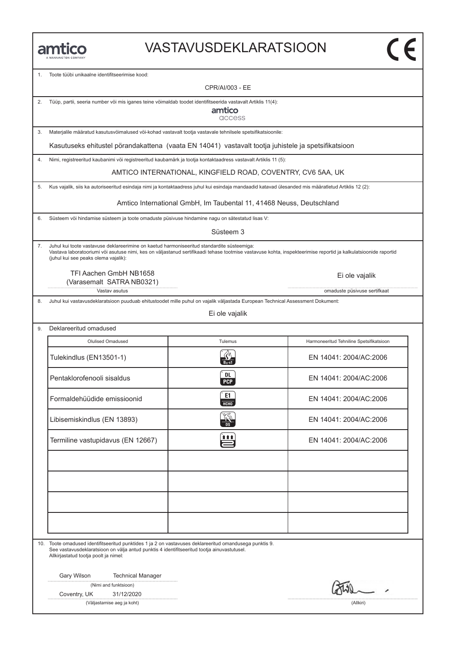### VASTAVUSDEKLARATSIOON

1. Toote tüϋbi unikaalne identifitseerimise kood:

CPR/AI/003 - EE

2. Tüϋp, partii, seeria number vöi mis iganes teine vöimaldab toodet identifitseerida vastavalt Artiklis 11(4):

amtico access

3. Materjalile määratud kasutusvöimalused vöi-kohad vastavalt tootja vastavale tehnilsele spetsifikatsioonile:

Kasutuseks ehitustel pörandakattena (vaata EN 14041) vastavalt tootja juhistele ja spetsifikatsioon

4. Nimi, registreeritud kaubanimi vöi registreeritud kaubamärk ja tootja kontaktaadress vastavalt Artiklis 11 (5):

AMTICO INTERNATIONAL, KINGFIELD ROAD, COVENTRY, CV6 5AA, UK

5. Kus vajalik, siis ka autoriseeritud esindaja nimi ja kontaktaadress juhul kui esindaja mandaadid katavad ülesanded mis määratletud Artiklis 12 (2):

Amtico International GmbH, Im Taubental 11, 41468 Neuss, Deutschland

6. Süsteem vöi hindamise süsteem ja toote omaduste püsivuse hindamine nagu on sätestatud lisas V:

Süsteem 3

7. Juhul kui toote vastavuse deklareerimine on kaetud harmoniseeritud standardite süsteemiga: Vastava laboratooriumi vöi asutuse nimi, kes on väljastanud sertifikaadi tehase tootmise vastavuse kohta, inspekteerimise reportid ja kalkulatsioonide raportid (juhul kui see peaks olema vajalik):

TFI Aachen GmbH NB1658 (Varasemalt SATRA NB0321)

Vastav asutus omaduste püsivuse sertifkaat

8. Juhul kui vastavusdeklaratsioon puuduab ehitustoodet mille puhul on vajalik väljastada European Technical Assessment Dokument:

Ei ole vajalik

| Olulised Omadused                 | Tulemus          | Harmoneeritud Tehniline Spetsifikatsioon |  |
|-----------------------------------|------------------|------------------------------------------|--|
| Tulekindlus (EN13501-1)           |                  | EN 14041: 2004/AC:2006                   |  |
| Pentaklorofenooli sisaldus        | DL<br><b>PCP</b> | EN 14041: 2004/AC:2006                   |  |
| Formaldehüüdide emissioonid       | E1<br>HCHO       | EN 14041: 2004/AC:2006                   |  |
| Libisemiskindlus (EN 13893)       | <b>AND</b>       | EN 14041: 2004/AC:2006                   |  |
| Termiline vastupidavus (EN 12667) | <u>itt</u>       | EN 14041: 2004/AC:2006                   |  |
|                                   |                  |                                          |  |
|                                   |                  |                                          |  |
|                                   |                  |                                          |  |
|                                   |                  |                                          |  |

10. Toote omadused identifitseeritud punktides 1 ja 2 on vastavuses deklareeritud omandusega punktis 9. See vastavusdeklaratsioon on välja antud punktis 4 identifitseeritud tootja ainuvastutusel. Allkirjastatud tootja poolt ja nimel:

Gary Wilson Technical Manager

|  |  | (Nimi and funktsioon) |
|--|--|-----------------------|
|--|--|-----------------------|

Coventry, UK 31/12/2020

(Väljastamise aeg ja koht) (Allkiri)

Ei ole vajalik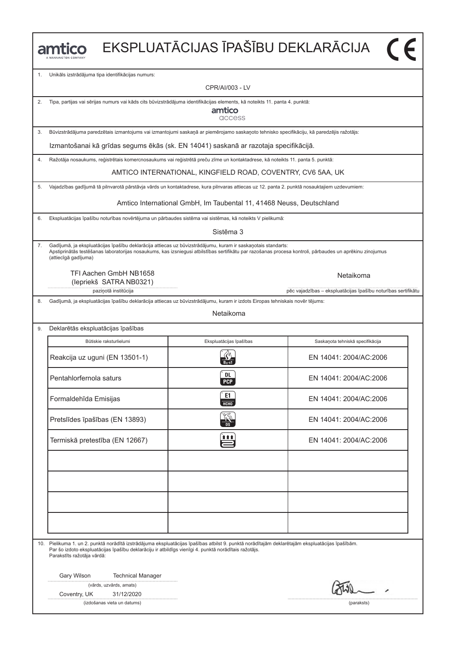|    | ntico                                                                                                                                                                                                                                                                                            |                                                                      | EKSPLUATĀCIJAS ĪPAŠĪBU DEKLARĀCIJA                            |  |  |  |  |
|----|--------------------------------------------------------------------------------------------------------------------------------------------------------------------------------------------------------------------------------------------------------------------------------------------------|----------------------------------------------------------------------|---------------------------------------------------------------|--|--|--|--|
| 1. | Unikāls izstrādājuma tipa identifikācijas numurs:                                                                                                                                                                                                                                                |                                                                      |                                                               |  |  |  |  |
|    |                                                                                                                                                                                                                                                                                                  | CPR/AI/003 - LV                                                      |                                                               |  |  |  |  |
| 2. | Tipa, partijas vai sērijas numurs vai kāds cits būvizstrādājuma identifikācijas elements, kā noteikts 11. panta 4. punktā:                                                                                                                                                                       | amtico<br>access                                                     |                                                               |  |  |  |  |
| 3. | Būvizstrādājuma paredzētais izmantojums vai izmantojumi saskaņā ar piemērojamo saskaņoto tehnisko specifikāciju, kā paredzējis ražotājs:                                                                                                                                                         |                                                                      |                                                               |  |  |  |  |
|    | Izmantošanai kā grīdas segums ēkās (sk. EN 14041) saskanā ar razotaja specifikācijā.                                                                                                                                                                                                             |                                                                      |                                                               |  |  |  |  |
| 4. | Ražotāja nosaukums, reģistrētais komercnosaukums vai reģistrētā preču zīme un kontaktadrese, kā noteikts 11. panta 5. punktā:                                                                                                                                                                    |                                                                      |                                                               |  |  |  |  |
|    |                                                                                                                                                                                                                                                                                                  | AMTICO INTERNATIONAL, KINGFIELD ROAD, COVENTRY, CV6 5AA, UK          |                                                               |  |  |  |  |
| 5. | Vajadzības gadījumā tā pilnvarotā pārstāvja vārds un kontaktadrese, kura pilnvaras attiecas uz 12. panta 2. punktā nosauktajiem uzdevumiem:                                                                                                                                                      |                                                                      |                                                               |  |  |  |  |
|    |                                                                                                                                                                                                                                                                                                  | Amtico International GmbH, Im Taubental 11, 41468 Neuss, Deutschland |                                                               |  |  |  |  |
| 6. | Ekspluatācijas īpašību noturības novērtējuma un pārbaudes sistēma vai sistēmas, kā noteikts V pielikumā:                                                                                                                                                                                         |                                                                      |                                                               |  |  |  |  |
|    |                                                                                                                                                                                                                                                                                                  | Sistēma 3                                                            |                                                               |  |  |  |  |
| 7. | Gadījumā, ja ekspluatācijas īpašību deklarācija attiecas uz būvizstrādājumu, kuram ir saskaņotais standarts:<br>Apstiprinātās testēšanas laboratorijas nosaukums, kas izsniegusi atbilstības sertifikātu par razošanas procesa kontroli, pārbaudes un aprēkinu zinojumus<br>(attiecīgā gadījuma) |                                                                      |                                                               |  |  |  |  |
|    | TFI Aachen GmbH NB1658<br>(lepriekš SATRA NB0321)                                                                                                                                                                                                                                                |                                                                      | Netaikoma                                                     |  |  |  |  |
| 8. | paziņotā institūcija<br>Gadījumā, ja ekspluatācijas īpašību deklarācija attiecas uz būvizstrādājumu, kuram ir izdots Eiropas tehniskais novēr tējums:                                                                                                                                            |                                                                      | pēc vajadzības - ekspluatācijas īpašību noturības sertifikātu |  |  |  |  |
|    |                                                                                                                                                                                                                                                                                                  | Netaikoma                                                            |                                                               |  |  |  |  |
| 9. | Deklarētās ekspluatācijas īpašības                                                                                                                                                                                                                                                               |                                                                      |                                                               |  |  |  |  |
|    | Būtiskie raksturlielumi                                                                                                                                                                                                                                                                          | Ekspluatācijas īpašības                                              | Saskaņota tehniskā specifikācija                              |  |  |  |  |
|    | Reakcija uz uguni (EN 13501-1)                                                                                                                                                                                                                                                                   |                                                                      | EN 14041: 2004/AC:2006                                        |  |  |  |  |
|    | Pentahlorfernola saturs                                                                                                                                                                                                                                                                          | <b>DL</b><br><b>PCP</b>                                              | EN 14041: 2004/AC:2006                                        |  |  |  |  |
|    | Formaldehīda Emisijas                                                                                                                                                                                                                                                                            | E1<br>НСНО                                                           | EN 14041: 2004/AC:2006                                        |  |  |  |  |
|    | Pretslīdes īpašības (EN 13893)                                                                                                                                                                                                                                                                   |                                                                      | EN 14041: 2004/AC:2006                                        |  |  |  |  |
|    | Termiskā pretestība (EN 12667)                                                                                                                                                                                                                                                                   |                                                                      | EN 14041: 2004/AC:2006                                        |  |  |  |  |
|    |                                                                                                                                                                                                                                                                                                  |                                                                      |                                                               |  |  |  |  |
|    |                                                                                                                                                                                                                                                                                                  |                                                                      |                                                               |  |  |  |  |
|    |                                                                                                                                                                                                                                                                                                  |                                                                      |                                                               |  |  |  |  |
|    |                                                                                                                                                                                                                                                                                                  |                                                                      |                                                               |  |  |  |  |
|    | 10. Pielikuma 1. un 2. punktā norādītā izstrādājuma ekspluatācijas īpašības atbilst 9. punktā norādītajām deklarētajām ekspluatācijas īpašībām.<br>Par šo izdoto ekspluatācijas īpašību deklarāciju ir atbildīgs vienīgi 4. punktā norādītais ražotājs.<br>Parakstīts ražotāja vārdā:            |                                                                      |                                                               |  |  |  |  |
|    | Gary Wilson<br><b>Technical Manager</b>                                                                                                                                                                                                                                                          |                                                                      |                                                               |  |  |  |  |
|    | (vārds, uzvārds, amats)                                                                                                                                                                                                                                                                          |                                                                      |                                                               |  |  |  |  |
|    | Coventry, UK<br>31/12/2020<br>(izdošanas vieta un datums)                                                                                                                                                                                                                                        |                                                                      | (paraksts)                                                    |  |  |  |  |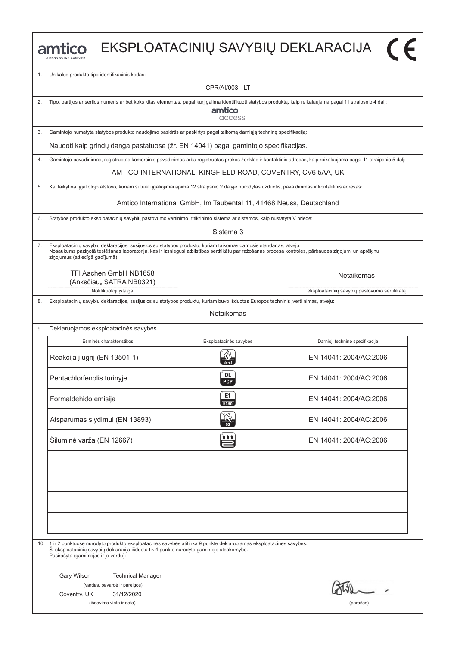|    | amtico                                                                                                                                                                                                                                                                                                         |                                                                      | EKSPLOATACINIŲ SAVYBIŲ DEKLARACIJA                                                                                                                                |  |  |  |  |
|----|----------------------------------------------------------------------------------------------------------------------------------------------------------------------------------------------------------------------------------------------------------------------------------------------------------------|----------------------------------------------------------------------|-------------------------------------------------------------------------------------------------------------------------------------------------------------------|--|--|--|--|
| 1. | Unikalus produkto tipo identifikacinis kodas:                                                                                                                                                                                                                                                                  |                                                                      |                                                                                                                                                                   |  |  |  |  |
|    |                                                                                                                                                                                                                                                                                                                | CPR/AI/003 - LT                                                      |                                                                                                                                                                   |  |  |  |  |
| 2. | Tipo, partijos ar serijos numeris ar bet koks kitas elementas, pagal kurį galima identifikuoti statybos produktą, kaip reikalaujama pagal 11 straipsnio 4 dalį:                                                                                                                                                | amtico<br>access                                                     |                                                                                                                                                                   |  |  |  |  |
| 3. | Gamintojo numatyta statybos produkto naudojimo paskirtis ar paskirtys pagal taikomą darniąją techninę specifikaciją:                                                                                                                                                                                           |                                                                      |                                                                                                                                                                   |  |  |  |  |
|    | Naudoti kaip grindų danga pastatuose (žr. EN 14041) pagal gamintojo specifikacijas.                                                                                                                                                                                                                            |                                                                      |                                                                                                                                                                   |  |  |  |  |
| 4. |                                                                                                                                                                                                                                                                                                                |                                                                      | Gamintojo pavadinimas, registruotas komercinis pavadinimas arba registruotas prekės ženklas ir kontaktinis adresas, kaip reikalaujama pagal 11 straipsnio 5 dalį: |  |  |  |  |
|    |                                                                                                                                                                                                                                                                                                                | AMTICO INTERNATIONAL, KINGFIELD ROAD, COVENTRY, CV6 5AA, UK          |                                                                                                                                                                   |  |  |  |  |
| 5. | Kai taikytina, įgaliotojo atstovo, kuriam suteikti įgaliojimai apima 12 straipsnio 2 dalyje nurodytas užduotis, pava dinimas ir kontaktinis adresas:                                                                                                                                                           |                                                                      |                                                                                                                                                                   |  |  |  |  |
|    |                                                                                                                                                                                                                                                                                                                | Amtico International GmbH, Im Taubental 11, 41468 Neuss, Deutschland |                                                                                                                                                                   |  |  |  |  |
| 6. | Statybos produkto eksploatacinių savybių pastovumo vertinimo ir tikrinimo sistema ar sistemos, kaip nustatyta V priede:                                                                                                                                                                                        |                                                                      |                                                                                                                                                                   |  |  |  |  |
|    |                                                                                                                                                                                                                                                                                                                | Sistema 3                                                            |                                                                                                                                                                   |  |  |  |  |
| 7. | Eksploatacinių savybių deklaracijos, susijusios su statybos produktu, kuriam taikomas darnusis standartas, atveju:<br>Nosaukums paziņotā testēšanas laboratorija, kas ir izsniegusi atbilstības sertifikātu par ražošanas procesa kontroles, pārbaudes ziņojumi un aprēķinu<br>ziņojumus (attiecīgā gadījumā). |                                                                      |                                                                                                                                                                   |  |  |  |  |
|    | TFI Aachen GmbH NB1658<br>(Anksčiau,, SATRA NB0321)                                                                                                                                                                                                                                                            |                                                                      | <b>Netaikomas</b>                                                                                                                                                 |  |  |  |  |
| 8. | Notifikuotoji įstaiga<br>Eksploatacinių savybių deklaracijos, susijusios su statybos produktu, kuriam buvo išduotas Europos techninis įverti nimas, atveju:                                                                                                                                                    |                                                                      | eksploatacinių savybių pastovumo sertifikatą                                                                                                                      |  |  |  |  |
|    |                                                                                                                                                                                                                                                                                                                | <b>Netaikomas</b>                                                    |                                                                                                                                                                   |  |  |  |  |
| 9. | Deklaruojamos eksploatacinės savybės                                                                                                                                                                                                                                                                           |                                                                      |                                                                                                                                                                   |  |  |  |  |
|    | Esminės charakteristikos                                                                                                                                                                                                                                                                                       | Eksploatacinės savybės                                               | Darnioji techninė specifikacija                                                                                                                                   |  |  |  |  |
|    | Reakcija į ugnį (EN 13501-1)                                                                                                                                                                                                                                                                                   |                                                                      | FN 14041: 2004/AC:2006                                                                                                                                            |  |  |  |  |
|    | Pentachlorfenolis turinyje                                                                                                                                                                                                                                                                                     | <b>DL</b><br><b>PCP</b>                                              | EN 14041: 2004/AC:2006                                                                                                                                            |  |  |  |  |
|    | Formaldehido emisija                                                                                                                                                                                                                                                                                           | E1<br>нсно                                                           | EN 14041: 2004/AC:2006                                                                                                                                            |  |  |  |  |
|    | Atsparumas slydimui (EN 13893)                                                                                                                                                                                                                                                                                 |                                                                      | EN 14041: 2004/AC:2006                                                                                                                                            |  |  |  |  |
|    | Šiluminė varža (EN 12667)                                                                                                                                                                                                                                                                                      | 自自自                                                                  | EN 14041: 2004/AC:2006                                                                                                                                            |  |  |  |  |
|    |                                                                                                                                                                                                                                                                                                                |                                                                      |                                                                                                                                                                   |  |  |  |  |
|    |                                                                                                                                                                                                                                                                                                                |                                                                      |                                                                                                                                                                   |  |  |  |  |
|    |                                                                                                                                                                                                                                                                                                                |                                                                      |                                                                                                                                                                   |  |  |  |  |
|    |                                                                                                                                                                                                                                                                                                                |                                                                      |                                                                                                                                                                   |  |  |  |  |
|    | 10. 1 ir 2 punktuose nurodyto produkto eksploatacinės savybės atitinka 9 punkte deklaruojamas eksploatacines savybes.<br>Ši eksploatacinių savybių deklaracija išduota tik 4 punkte nurodyto gamintojo atsakomybe.<br>Pasirašyta (gamintojas ir jo vardu):                                                     |                                                                      |                                                                                                                                                                   |  |  |  |  |
|    | Gary Wilson<br><b>Technical Manager</b>                                                                                                                                                                                                                                                                        |                                                                      |                                                                                                                                                                   |  |  |  |  |
|    | (vardas, pavardė ir pareigos)<br>Coventry, UK<br>31/12/2020                                                                                                                                                                                                                                                    |                                                                      |                                                                                                                                                                   |  |  |  |  |
|    | (išdavimo vieta ir data)                                                                                                                                                                                                                                                                                       |                                                                      | (parašas)                                                                                                                                                         |  |  |  |  |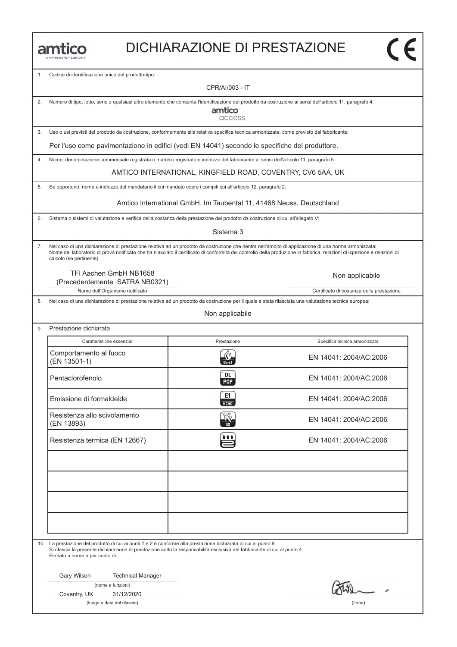|  |  |  | MANNINGTON COMPANY |  |
|--|--|--|--------------------|--|

#### DICHIARAZIONE DI PRESTAZIONE

1. Codice di identificazione unico del prodotto-tipo:

CPR/AI/003 - IT

2. Numero di tipo, lotto, serie o qualsiasi altro elemento che consenta l'identificazione del prodotto da costruzione ai sensi dell'articolo 11, paragrafo 4:

amtico access

3. Uso o usi previsti del prodotto da costruzione, conformemente alla relativa specifica tecnica armonizzata, come previsto dal fabbricante:

Per l'uso come pavimentazione in edifici (vedi EN 14041) secondo le specifiche del produttore.

4. Nome, denominazione commerciale registrata o marchio registrato e indirizzo del fabbricante ai sensi dell'articolo 11, paragrafo 5:

AMTICO INTERNATIONAL, KINGFIELD ROAD, COVENTRY, CV6 5AA, UK

5. Se opportuno, nome e indirizzo del mandatario il cui mandato copre i compiti cui all'articolo 12, paragrafo 2:

Amtico International GmbH, Im Taubental 11, 41468 Neuss, Deutschland

6. Sistema o sistemi di valutazione e verifica della costanza della prestazione del prodotto da costruzione di cui all'allegato V:

Sistema 3

7. Nel caso di una dichiarazione di prestazione relativa ad un prodotto da costruzione che rientra nell'ambito di applicazione di una norma armonizzata: Nome del laboratorio di prova notificato che ha rilasciato il certificato di conformità del controllo della produzione in fabbrica, relazioni di ispezione e relazioni di calcolo (se pertinente).

TFI Aachen GmbH NB1658 (Precedentemente SATRA NB0321)

Non applicabile

Nome dell'Organismo notificato controlle controlle controlle controlle controlle controlle controlle controlle controlle controlle controlle controlle controlle controlle controlle controlle controlle controlle controlle c

8. Nel caso di una dichiarazione di prestazione relativa ad un prodotto da costruzione per il quale è stata rilasciata una valutazione tecnica europea:

Non applicabile

| 9. | Prestazione dichiarata |
|----|------------------------|
|    |                        |

| Caratteristiche essenziali                 | Prestazione       | Specifica tecnica armonizzata |
|--------------------------------------------|-------------------|-------------------------------|
| Comportamento al fuoco<br>(EN 13501-1)     |                   | EN 14041: 2004/AC:2006        |
| Pentaclorofenolo                           | DL.<br><b>PCP</b> | EN 14041: 2004/AC:2006        |
| Emissione di formaldeide                   | E1<br>HT          | EN 14041: 2004/AC:2006        |
| Resistenza allo scivolamento<br>(EN 13893) |                   | EN 14041: 2004/AC:2006        |
| Resistenza termica (EN 12667)              | Ë                 | EN 14041: 2004/AC:2006        |
|                                            |                   |                               |
|                                            |                   |                               |
|                                            |                   |                               |
|                                            |                   |                               |

10. La prestazione del prodotto di cui ai punti 1 e 2 è conforme alla prestazione dichiarata di cui al punto 9.

Si rilascia la presente dichiarazione di prestazione sotto la responsabilità esclusiva del fabbricante di cui al punto 4. Firmato a nome e per conto di:

Gary Wilson Technical Manager

(nome e funzioni)

Coventry, UK 31/12/2020

(luogo e data del rilascio) (firma)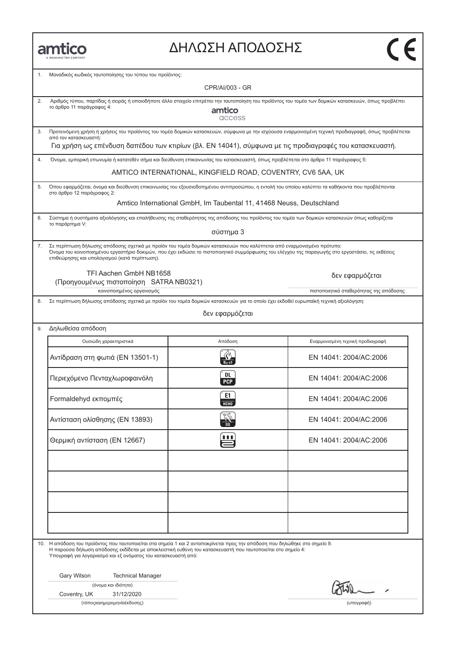| MANNINGTON COMPANY |
|--------------------|

### ΔΗΛΩΣΗ ΑΠΟΔΟΣΗΣ

| 1. | Μοναδικός κωδικός ταυτοποίησης του τύπου του προϊόντος:                                                                                                                                                                                                                                                     |                                                                      |                                                                                                                                                      |  |  |  |  |  |
|----|-------------------------------------------------------------------------------------------------------------------------------------------------------------------------------------------------------------------------------------------------------------------------------------------------------------|----------------------------------------------------------------------|------------------------------------------------------------------------------------------------------------------------------------------------------|--|--|--|--|--|
|    |                                                                                                                                                                                                                                                                                                             | CPR/AI/003 - GR                                                      |                                                                                                                                                      |  |  |  |  |  |
| 2. | Αριθμός τύπου, παρτίδας ή σειράς ή οποιοδήποτε άλλο στοιχείο επιτρέπει την ταυτοποίηση του προϊόντος του τομέα των δομικών κατασκευών, όπως προβλέπει<br>το άρθρο 11 παράγραφος 4:<br>amtico<br>access                                                                                                      |                                                                      |                                                                                                                                                      |  |  |  |  |  |
| 3. | από τον κατασκευαστή:                                                                                                                                                                                                                                                                                       |                                                                      | Προτεινόμενη χρήση ή χρήσεις του προϊόντος του τομέα δομικών κατασκευών, σύμφωνα με την ισχύουσα εναρμονισμένη τεχνική προδιαγραφή, όπως προβλέπεται |  |  |  |  |  |
|    |                                                                                                                                                                                                                                                                                                             |                                                                      | Για χρήση ως επένδυση δαπέδου των κτιρίων (βλ. EN 14041), σύμφωνα με τις προδιαγραφές του κατασκευαστή.                                              |  |  |  |  |  |
| 4. | Όνομα, εμπορική επωνυμία ή κατατεθέν σήμα και διεύθυνση επικοινωνίας του κατασκευαστή, όπως προβλέπεται στο άρθρο 11 παράγραφος 5:                                                                                                                                                                          |                                                                      |                                                                                                                                                      |  |  |  |  |  |
|    |                                                                                                                                                                                                                                                                                                             | AMTICO INTERNATIONAL, KINGFIELD ROAD, COVENTRY, CV6 5AA, UK          |                                                                                                                                                      |  |  |  |  |  |
| 5. | στο άρθρο 12 παράγραφος 2:                                                                                                                                                                                                                                                                                  |                                                                      | Όπου εφαρμόζεται, όνομα και διεύθυνση επικοινωνίας του εξουσιοδοτημένου αντιπροσώπου, η εντολή του οποίου καλύπτει τα καθήκοντα που προβλέπονται     |  |  |  |  |  |
|    |                                                                                                                                                                                                                                                                                                             | Amtico International GmbH, Im Taubental 11, 41468 Neuss, Deutschland |                                                                                                                                                      |  |  |  |  |  |
|    | το παράρτημα V:                                                                                                                                                                                                                                                                                             |                                                                      | Σύστημα ή συστήματα αξιολόγησης και επαλήθευσης της σταθερότητας της απόδοσης του προϊόντος του τομέα των δομικών κατασκευών όπως καθορίζεται        |  |  |  |  |  |
|    |                                                                                                                                                                                                                                                                                                             | σύστημα 3                                                            |                                                                                                                                                      |  |  |  |  |  |
| 7. | Σε περίπτωση δήλωσης απόδοσης σχετικά με προϊόν του τομέα δομικών κατασκευών που καλύπτεται από εναρμονισμένο πρότυπο:<br>επιθεώρησης και υπολογισμού (κατά περίπτωση).                                                                                                                                     |                                                                      | Όνομα του κοινοποιημένου εργαστήριο δοκιμών, που έχει εκδώσει το πιστοποιητικό συμμόρφωσης του ελέγχου της παραγωγής στο εργοστάσιο, τις εκθέσεις    |  |  |  |  |  |
|    | TFI Aachen GmbH NB1658<br>(Προηγουμένως πιστοποίηση SATRA NB0321)                                                                                                                                                                                                                                           |                                                                      | δεν εφαρμόζεται                                                                                                                                      |  |  |  |  |  |
| 8. | κοινοποιημένος οργανισμός<br>Σε περίπτωση δήλωσης απόδοσης σχετικά με προϊόν του τομέα δομικών κατασκευών για το οποίο έχει εκδοθεί ευρωπαϊκή τεχνική αξιολόγηση:                                                                                                                                           |                                                                      | πιστοποιητικό σταθερότητας της απόδοσης                                                                                                              |  |  |  |  |  |
|    |                                                                                                                                                                                                                                                                                                             | δεν εφαρμόζεται                                                      |                                                                                                                                                      |  |  |  |  |  |
| 9. | Δηλωθείσα απόδοση                                                                                                                                                                                                                                                                                           |                                                                      |                                                                                                                                                      |  |  |  |  |  |
|    | Ουσιώδη χαρακτηριστικά                                                                                                                                                                                                                                                                                      | Απόδοση                                                              | Εναρμονισμένη τεχνική προδιαγραφή                                                                                                                    |  |  |  |  |  |
|    | Αντίδραση στη φωτιά (ΕΝ 13501-1)                                                                                                                                                                                                                                                                            |                                                                      | EN 14041: 2004/AC:2006                                                                                                                               |  |  |  |  |  |
|    | Περιεχόμενο Πενταχλωροφαινόλη                                                                                                                                                                                                                                                                               | DL<br><b>PCP</b>                                                     | EN 14041: 2004/AC:2006                                                                                                                               |  |  |  |  |  |
|    | Formaldehyd εκπομπές                                                                                                                                                                                                                                                                                        | E1.<br><b>HCHO</b>                                                   | EN 14041: 2004/AC:2006                                                                                                                               |  |  |  |  |  |
|    | Αντίσταση ολίσθησης (EN 13893)                                                                                                                                                                                                                                                                              | ్య<br><b>DS</b>                                                      | EN 14041: 2004/AC:2006                                                                                                                               |  |  |  |  |  |
|    | Θερμική αντίσταση (EN 12667)                                                                                                                                                                                                                                                                                | 自自自                                                                  | EN 14041: 2004/AC:2006                                                                                                                               |  |  |  |  |  |
|    |                                                                                                                                                                                                                                                                                                             |                                                                      |                                                                                                                                                      |  |  |  |  |  |
|    |                                                                                                                                                                                                                                                                                                             |                                                                      |                                                                                                                                                      |  |  |  |  |  |
|    | 10. Η απόδοση του προϊόντος που ταυτοποιείται στα σημεία 1 και 2 ανταποκρίνεται προς την απόδοση που δηλώθηκε στο σημείο 9.<br>Η παρούσα δήλωση απόδοσης εκδίδεται με αποκλειστική ευθύνη του κατασκευαστή που ταυτοποιείται στο σημείο 4:<br>Υπογραφή για λογαριασμό και εξ ονόματος του κατασκευαστή από: |                                                                      |                                                                                                                                                      |  |  |  |  |  |
|    | Gary Wilson<br><b>Technical Manager</b><br>(όνομα και ιδιότητα)                                                                                                                                                                                                                                             |                                                                      |                                                                                                                                                      |  |  |  |  |  |
|    | 31/12/2020<br>Coventry, UK<br>(τόποςκαιημερομηνία έκδοσης)                                                                                                                                                                                                                                                  |                                                                      | (υπογραφή)                                                                                                                                           |  |  |  |  |  |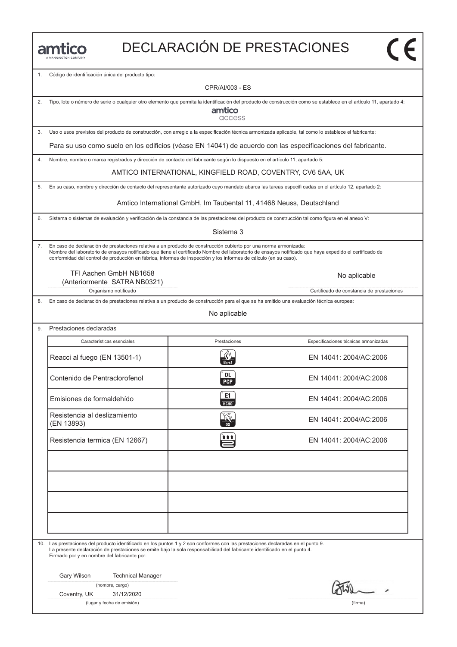|  |  |  |  | MANNINGTON COMPANY |  |
|--|--|--|--|--------------------|--|

## DECLARACIÓN DE PRESTACIONES

1. Código de identificación única del producto tipo:

CPR/AI/003 - ES

| 2. | Tipo, lote o número de serie o cualquier otro elemento que permita la identificación del producto de construcción como se establece en el artículo 11, apartado 4:<br>amtico<br>access |                                                                                                                                                                                                                                                                            |                                           |  |  |  |  |
|----|----------------------------------------------------------------------------------------------------------------------------------------------------------------------------------------|----------------------------------------------------------------------------------------------------------------------------------------------------------------------------------------------------------------------------------------------------------------------------|-------------------------------------------|--|--|--|--|
| 3. | Uso o usos previstos del producto de construcción, con arreglo a la especificación técnica armonizada aplicable, tal como lo establece el fabricante:                                  |                                                                                                                                                                                                                                                                            |                                           |  |  |  |  |
|    | Para su uso como suelo en los edificios (véase EN 14041) de acuerdo con las especificaciones del fabricante.                                                                           |                                                                                                                                                                                                                                                                            |                                           |  |  |  |  |
| 4. | Nombre, nombre o marca registrados y dirección de contacto del fabricante según lo dispuesto en el artículo 11, apartado 5:                                                            |                                                                                                                                                                                                                                                                            |                                           |  |  |  |  |
|    |                                                                                                                                                                                        | AMTICO INTERNATIONAL, KINGFIELD ROAD, COVENTRY, CV6 5AA, UK                                                                                                                                                                                                                |                                           |  |  |  |  |
| 5. |                                                                                                                                                                                        | En su caso, nombre y dirección de contacto del representante autorizado cuyo mandato abarca las tareas especifi cadas en el artículo 12, apartado 2:                                                                                                                       |                                           |  |  |  |  |
|    |                                                                                                                                                                                        | Amtico International GmbH, Im Taubental 11, 41468 Neuss, Deutschland                                                                                                                                                                                                       |                                           |  |  |  |  |
| 6. | Sistema o sistemas de evaluación y verificación de la constancia de las prestaciones del producto de construcción tal como figura en el anexo V:                                       | Sistema 3                                                                                                                                                                                                                                                                  |                                           |  |  |  |  |
|    |                                                                                                                                                                                        |                                                                                                                                                                                                                                                                            |                                           |  |  |  |  |
| 7. | En caso de declaración de prestaciones relativa a un producto de construcción cubierto por una norma armonizada:                                                                       | Nombre del laboratorio de ensayos notificado que tiene el certificado Nombre del laboratorio de ensayos notificado que haya expedido el certificado de<br>conformidad del control de producción en fábrica, informes de inspección y los informes de cálculo (en su caso). |                                           |  |  |  |  |
|    | TFI Aachen GmbH NB1658<br>(Anteriormente SATRA NB0321)                                                                                                                                 |                                                                                                                                                                                                                                                                            | No aplicable                              |  |  |  |  |
|    | Organismo notificado                                                                                                                                                                   |                                                                                                                                                                                                                                                                            | Certificado de constancia de prestaciones |  |  |  |  |
| 8. | En caso de declaración de prestaciones relativa a un producto de construcción para el que se ha emitido una evaluación técnica europea:                                                | No aplicable                                                                                                                                                                                                                                                               |                                           |  |  |  |  |
| 9. | Prestaciones declaradas                                                                                                                                                                |                                                                                                                                                                                                                                                                            |                                           |  |  |  |  |
|    | Características esenciales                                                                                                                                                             | Prestaciones                                                                                                                                                                                                                                                               | Especificaciones técnicas armonizadas     |  |  |  |  |
|    |                                                                                                                                                                                        |                                                                                                                                                                                                                                                                            |                                           |  |  |  |  |
|    | Reacci al fuego (EN 13501-1)                                                                                                                                                           | $B_{11}$ -s1                                                                                                                                                                                                                                                               | EN 14041: 2004/AC:2006                    |  |  |  |  |
|    | Contenido de Pentraclorofenol                                                                                                                                                          | DL<br><b>PCP</b>                                                                                                                                                                                                                                                           | EN 14041: 2004/AC:2006                    |  |  |  |  |
|    | Emisiones de formaldehído                                                                                                                                                              | E1<br><b>HCHO</b>                                                                                                                                                                                                                                                          | EN 14041: 2004/AC:2006                    |  |  |  |  |
|    | Resistencia al deslizamiento<br>(EN 13893)                                                                                                                                             |                                                                                                                                                                                                                                                                            | EN 14041: 2004/AC:2006                    |  |  |  |  |
|    | Resistencia termica (EN 12667)                                                                                                                                                         | î î î                                                                                                                                                                                                                                                                      | EN 14041: 2004/AC:2006                    |  |  |  |  |
|    |                                                                                                                                                                                        |                                                                                                                                                                                                                                                                            |                                           |  |  |  |  |
|    |                                                                                                                                                                                        |                                                                                                                                                                                                                                                                            |                                           |  |  |  |  |
|    |                                                                                                                                                                                        |                                                                                                                                                                                                                                                                            |                                           |  |  |  |  |
|    | 10. Las prestaciones del producto identificado en los puntos 1 y 2 son conformes con las prestaciones declaradas en el punto 9.<br>Firmado por y en nombre del fabricante por:         | La presente declaración de prestaciones se emite bajo la sola responsabilidad del fabricante identificado en el punto 4.                                                                                                                                                   |                                           |  |  |  |  |
|    | Gary Wilson<br><b>Technical Manager</b>                                                                                                                                                |                                                                                                                                                                                                                                                                            |                                           |  |  |  |  |
|    | (nombre, cargo)                                                                                                                                                                        |                                                                                                                                                                                                                                                                            |                                           |  |  |  |  |
|    | Coventry, UK<br>31/12/2020<br>(lugar y fecha de emisión)                                                                                                                               |                                                                                                                                                                                                                                                                            | (firma)                                   |  |  |  |  |
|    |                                                                                                                                                                                        |                                                                                                                                                                                                                                                                            |                                           |  |  |  |  |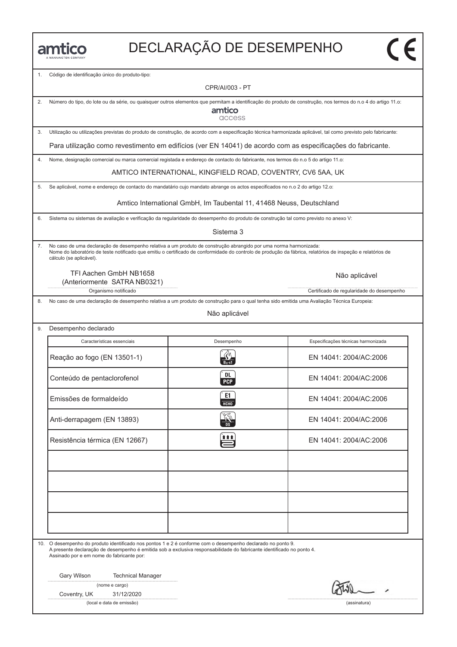# DECLARAҪÃO DE DESEMPENHO

1. Código de identificação único do produto-tipo:

CPR/AI/003 - PT

| 2. | Número do tipo, do lote ou da série, ou quaisquer outros elementos que permitam a identificação do produto de construção, nos termos do n.o 4 do artigo 11.o:<br>amtico<br>access |                                                                                                                                                                                                                                                                                 |                                           |  |  |  |  |  |
|----|-----------------------------------------------------------------------------------------------------------------------------------------------------------------------------------|---------------------------------------------------------------------------------------------------------------------------------------------------------------------------------------------------------------------------------------------------------------------------------|-------------------------------------------|--|--|--|--|--|
| 3. | Utilização ou utilizações previstas do produto de construção, de acordo com a especificação técnica harmonizada aplicável, tal como previsto pelo fabricante:                     |                                                                                                                                                                                                                                                                                 |                                           |  |  |  |  |  |
|    |                                                                                                                                                                                   | Para utilização como revestimento em edifícios (ver EN 14041) de acordo com as especificações do fabricante.                                                                                                                                                                    |                                           |  |  |  |  |  |
| 4. |                                                                                                                                                                                   | Nome, designação comercial ou marca comercial registada e endereço de contacto do fabricante, nos termos do n.o 5 do artigo 11.o:                                                                                                                                               |                                           |  |  |  |  |  |
|    |                                                                                                                                                                                   | AMTICO INTERNATIONAL, KINGFIELD ROAD, COVENTRY, CV6 5AA, UK                                                                                                                                                                                                                     |                                           |  |  |  |  |  |
| 5. |                                                                                                                                                                                   | Se aplicável, nome e endereço de contacto do mandatário cujo mandato abrange os actos especificados no n.o 2 do artigo 12.o:                                                                                                                                                    |                                           |  |  |  |  |  |
|    |                                                                                                                                                                                   | Amtico International GmbH, Im Taubental 11, 41468 Neuss, Deutschland                                                                                                                                                                                                            |                                           |  |  |  |  |  |
| 6. |                                                                                                                                                                                   | Sistema ou sistemas de avaliação e verificação da regularidade do desempenho do produto de construção tal como previsto no anexo V:                                                                                                                                             |                                           |  |  |  |  |  |
|    |                                                                                                                                                                                   | Sistema 3                                                                                                                                                                                                                                                                       |                                           |  |  |  |  |  |
| 7. | cálculo (se aplicável).                                                                                                                                                           | No caso de uma declaração de desempenho relativa a um produto de construção abrangido por uma norma harmonizada:<br>Nome do laboratório de teste notificado que emitiu o certificado de conformidade do controlo de produção da fábrica, relatórios de inspeção e relatórios de |                                           |  |  |  |  |  |
|    | TFI Aachen GmbH NB1658<br>(Anteriormente SATRA NB0321)                                                                                                                            |                                                                                                                                                                                                                                                                                 | Não aplicável                             |  |  |  |  |  |
| 8. | Organismo notificado                                                                                                                                                              | No caso de uma declaração de desempenho relativa a um produto de construção para o qual tenha sido emitida uma Avaliação Técnica Europeia:                                                                                                                                      | Certificado de regularidade do desempenho |  |  |  |  |  |
|    |                                                                                                                                                                                   | Não aplicável                                                                                                                                                                                                                                                                   |                                           |  |  |  |  |  |
| 9. | Desempenho declarado                                                                                                                                                              |                                                                                                                                                                                                                                                                                 |                                           |  |  |  |  |  |
|    | Características essenciais                                                                                                                                                        | Desempenho                                                                                                                                                                                                                                                                      | Especificações técnicas harmonizada       |  |  |  |  |  |
|    | Reação ao fogo (EN 13501-1)                                                                                                                                                       | $B_{fl}$ -s1                                                                                                                                                                                                                                                                    | EN 14041: 2004/AC:2006                    |  |  |  |  |  |
|    | Conteúdo de pentaclorofenol                                                                                                                                                       | DL<br><b>PCP</b>                                                                                                                                                                                                                                                                | EN 14041: 2004/AC:2006                    |  |  |  |  |  |
|    | Emissões de formaldeído                                                                                                                                                           | E1<br>HCHO                                                                                                                                                                                                                                                                      | EN 14041: 2004/AC:2006                    |  |  |  |  |  |
|    | Anti-derrapagem (EN 13893)                                                                                                                                                        | $\frac{1}{108}$                                                                                                                                                                                                                                                                 | EN 14041: 2004/AC:2006                    |  |  |  |  |  |
|    | Resistência térmica (EN 12667)                                                                                                                                                    | <b>111</b>                                                                                                                                                                                                                                                                      | EN 14041: 2004/AC:2006                    |  |  |  |  |  |
|    |                                                                                                                                                                                   |                                                                                                                                                                                                                                                                                 |                                           |  |  |  |  |  |
|    |                                                                                                                                                                                   |                                                                                                                                                                                                                                                                                 |                                           |  |  |  |  |  |
|    |                                                                                                                                                                                   |                                                                                                                                                                                                                                                                                 |                                           |  |  |  |  |  |
|    |                                                                                                                                                                                   |                                                                                                                                                                                                                                                                                 |                                           |  |  |  |  |  |
|    |                                                                                                                                                                                   |                                                                                                                                                                                                                                                                                 |                                           |  |  |  |  |  |
|    | 10. O desempenho do produto identificado nos pontos 1 e 2 é conforme com o desempenho declarado no ponto 9.<br>Assinado por e em nome do fabricante por:                          | A presente declaração de desempenho é emitida sob a exclusiva responsabilidade do fabricante identificado no ponto 4.                                                                                                                                                           |                                           |  |  |  |  |  |
|    | Gary Wilson<br><b>Technical Manager</b>                                                                                                                                           |                                                                                                                                                                                                                                                                                 |                                           |  |  |  |  |  |
|    | (nome e cargo)<br>31/12/2020<br>Coventry, UK                                                                                                                                      |                                                                                                                                                                                                                                                                                 |                                           |  |  |  |  |  |
|    | (local e data de emissão)                                                                                                                                                         |                                                                                                                                                                                                                                                                                 | (assinatura)                              |  |  |  |  |  |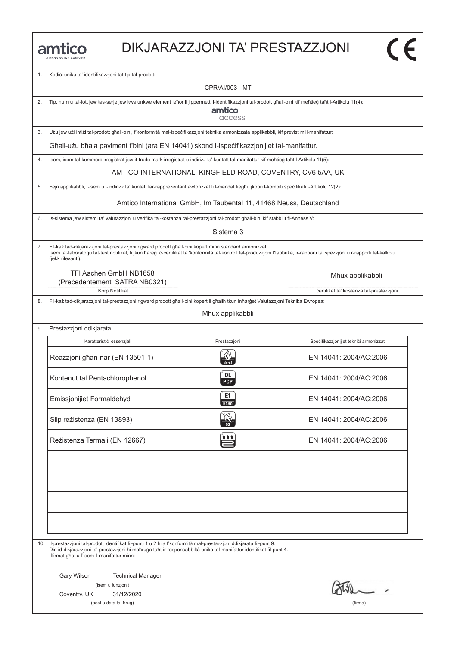|  |  |  |  | MANNINGTON COMPANY |  |
|--|--|--|--|--------------------|--|

#### DIKJARAZZJONI TA' PRESTAZZJONI

1. Kodići uniku ta' identifikazzjoni tat-tip tal-prodott:

CPR/AI/003 - MT

2. Tip, numru tal-lott jew tas-serje jew kwalunkwe element ieħor li jippermetti l-identifikazzjoni tal-prodott għall-bini kif meħtieġ taħt l-Artikolu 11(4):

amtico access

3. Użu jew użi intiżi tal-prodott għall-bini, f'konformità mal-ispeċifikazzjoni teknika armonizzata applikabbli, kif previst mill-manifattur:

Għall-użu bħala paviment f'bini (ara EN 14041) skond l-ispeċifikazzjonijiet tal-manifattur.

4. Isem, isem tal-kummerċ irreġistrat jew it-trade mark irreġistrat u indirizz ta' kuntatt tal-manifattur kif meħtieġ taħt l-Artikolu 11(5):

AMTICO INTERNATIONAL, KINGFIELD ROAD, COVENTRY, CV6 5AA, UK

5. Fejn applikabbli, l-isem u l-indirizz ta' kuntatt tar-rappreżentant awtorizzat li l-mandat tiegħu jkopri l-kompiti speċifikati l-Artikolu 12(2):

Amtico International GmbH, Im Taubental 11, 41468 Neuss, Deutschland

6. Is-sistema jew sistemi ta' valutazzjoni u verifika tal-kostanza tal-prestazzjoni tal-prodott għall-bini kif stabbilit fl-Anness V:

Sistema 3

7. Fil-każ tad-dikjarazzjoni tal-prestazzjoni rigward prodott għall-bini kopert minn standard armonizzat: Isem tal-laboratorju tat-test notifikat, li jkun ħareġ iċ-ċertifikat ta 'konformità tal-kontroll tal-produzzjoni f'fabbrika, ir-rapporti ta' spezzjoni u r-rapporti tal-kalkolu (jekk rilevanti).

TFI Aachen GmbH NB1658 (Preċedentement SATRA NB0321)

8. Fil-każ tad-dikjarazzjoni tal-prestazzjoni rigward prodott għall-bini kopert li għalih tkun inħarġet Valutazzjoni Teknika Ewropea:

Mhux applikabbli

| Prestazzjoni ddikjarata         |                         |                                         |  |  |
|---------------------------------|-------------------------|-----------------------------------------|--|--|
| Karatterističi essenzjali       | Prestazzjoni            | Specifikazzjonijiet teknici armonizzati |  |  |
| Reazzjoni għan-nar (EN 13501-1) |                         | EN 14041: 2004/AC:2006                  |  |  |
| Kontenut tal Pentachlorophenol  | <b>DL</b><br><b>PCP</b> | EN 14041: 2004/AC:2006                  |  |  |
| Emissjonijiet Formaldehyd       | E1<br>HT                | EN 14041: 2004/AC:2006                  |  |  |
| Slip reżistenza (EN 13893)      |                         | EN 14041: 2004/AC:2006                  |  |  |
| Reżistenza Termali (EN 12667)   | <u>in</u>               | EN 14041: 2004/AC:2006                  |  |  |
|                                 |                         |                                         |  |  |
|                                 |                         |                                         |  |  |
|                                 |                         |                                         |  |  |
|                                 |                         |                                         |  |  |

10. Il-prestazzjoni tal-prodott identifikat fil-punti 1 u 2 hija f'konformità mal-prestazzjoni ddikjarata fil-punt 9.

Din id-dikjarazzjoni ta' prestazzjoni hi maħruġa taħt ir-responsabbiltà unika tal-manifattur identifikat fil-punt 4. Iffirmat għal u f'isem il-manifattur minn:

Gary Wilson Technical Manager

Coventry, UK 31/12/2020

(post u data tal-ħruġ) (firma)

Mhux applikabbli

Korp Notifikat **in the set of the set of the set of the set of the set of the set of the set of the set of the set of the set of the set of the set of the set of the set of the set of the set of the set of the set of the s**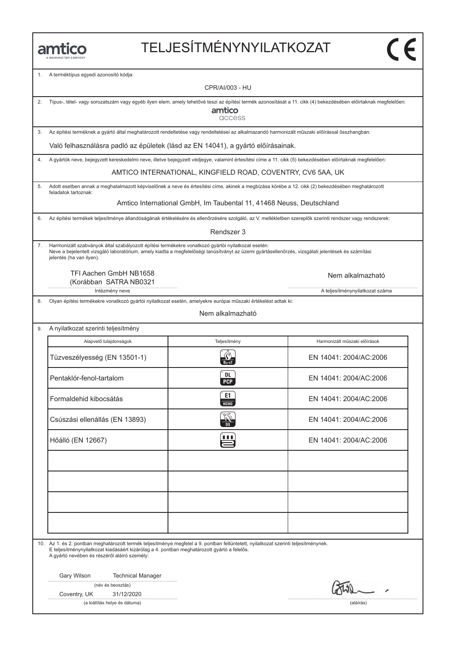# TELJESÍTMÉNYNYILATKOZAT

1. A terméktípus egyedi azonosító kódja:

|    |                                                                                                                                                                                                                                                                                      | CPR/AI/003 - HU                                                      |                                 |  |  |
|----|--------------------------------------------------------------------------------------------------------------------------------------------------------------------------------------------------------------------------------------------------------------------------------------|----------------------------------------------------------------------|---------------------------------|--|--|
| 2. | Típus-, tétel- vagy sorozatszám vagy egyéb ilyen elem, amely lehetővé teszi az építési termék azonosítását a 11. cikk (4) bekezdésében előírtaknak megfelelően:<br>amtico<br>access                                                                                                  |                                                                      |                                 |  |  |
| 3. | Az építési terméknek a gyártó által meghatározott rendeltetése vagy rendeltetései az alkalmazandó harmonizált műszaki előírással összhangban:                                                                                                                                        |                                                                      |                                 |  |  |
|    | Való felhasználásra padló az épületek (lásd az EN 14041), a gyártó előírásainak.                                                                                                                                                                                                     |                                                                      |                                 |  |  |
| 4. | A gyártók neve, bejegyzett kereskedelmi neve, illetve bejegyzett védjegye, valamint értesítési címe a 11. cikk (5) bekezdésében előírtaknak megfelelően:                                                                                                                             |                                                                      |                                 |  |  |
|    |                                                                                                                                                                                                                                                                                      | AMTICO INTERNATIONAL, KINGFIELD ROAD, COVENTRY, CV6 5AA, UK          |                                 |  |  |
| 5. | Adott esetben annak a meghatalmazott képviselőnek a neve és értesítési címe, akinek a megbízása körébe a 12. cikk (2) bekezdésében meghatározott<br>feladatok tartoznak:                                                                                                             |                                                                      |                                 |  |  |
|    |                                                                                                                                                                                                                                                                                      | Amtico International GmbH, Im Taubental 11, 41468 Neuss, Deutschland |                                 |  |  |
| 6. | Az építési termékek teljesítménye állandóságának értékelésére és ellenőrzésére szolgáló, az V. mellékletben szereplők szerinti rendszer vagy rendszerek:                                                                                                                             |                                                                      |                                 |  |  |
|    |                                                                                                                                                                                                                                                                                      | Rendszer 3                                                           |                                 |  |  |
| 7. | Harmonizált szabványok által szabályozott építési termékekre vonatkozó gyártói nyilatkozat esetén:<br>Neve a bejelentett vizsgáló laboratórium, amely kiadta a megfelelőségi tanúsítványt az üzemi gyártásellenőrzés, vizsgálati jelentések és számítási<br>jelentés (ha van ilyen). |                                                                      |                                 |  |  |
|    | TFI Aachen GmbH NB1658<br>(Korábban SATRA NB0321                                                                                                                                                                                                                                     |                                                                      | Nem alkalmazható                |  |  |
|    | Intézmény neve                                                                                                                                                                                                                                                                       |                                                                      | A teljesítménynyilatkozat száma |  |  |
| 8. | Olyan építési termékekre vonatkozó gyártói nyilatkozat esetén, amelyekre európai műszaki értékelést adtak ki:                                                                                                                                                                        |                                                                      |                                 |  |  |
|    |                                                                                                                                                                                                                                                                                      | Nem alkalmazható                                                     |                                 |  |  |
| 9. | A nyilatkozat szerinti teljesítmény                                                                                                                                                                                                                                                  |                                                                      |                                 |  |  |
|    | Alapvető tulajdonságok                                                                                                                                                                                                                                                               | Teljesítmény                                                         | Harmonizált műszaki előírások   |  |  |
|    | Tüzveszélyesség (EN 13501-1)                                                                                                                                                                                                                                                         | $B_{11}$ -s1                                                         | EN 14041: 2004/AC:2006          |  |  |
|    | Pentaklór-fenol-tartalom                                                                                                                                                                                                                                                             | DL<br><b>PCP</b>                                                     | EN 14041: 2004/AC:2006          |  |  |
|    | Formaldehid kibocsátás                                                                                                                                                                                                                                                               | E1<br>HCHO                                                           | EN 14041: 2004/AC:2006          |  |  |
|    | Csúszási ellenállás (EN 13893)                                                                                                                                                                                                                                                       | KT<br>DS                                                             | EN 14041: 2004/AC:2006          |  |  |
|    | Hőálló (EN 12667)                                                                                                                                                                                                                                                                    | 自自自                                                                  | EN 14041: 2004/AC:2006          |  |  |
|    |                                                                                                                                                                                                                                                                                      |                                                                      |                                 |  |  |
|    | 10. Az 1. és 2. pontban meghatározott termék teljesítménye megfelel a 9. pontban feltüntetett, nyilatkozat szerinti teljesítménynek.                                                                                                                                                 |                                                                      |                                 |  |  |
|    | E teljesítménynyilatkozat kiadásáért kizárólag a 4. pontban meghatározott gyártó a felelős.<br>A gyártó nevében és részéről aláíró személy:                                                                                                                                          |                                                                      |                                 |  |  |
|    | Gary Wilson<br><b>Technical Manager</b><br>(név és beosztás)<br>Coventry, UK<br>31/12/2020                                                                                                                                                                                           |                                                                      |                                 |  |  |
|    | (a kiállítás helye és dátuma)                                                                                                                                                                                                                                                        |                                                                      | (aláírás)                       |  |  |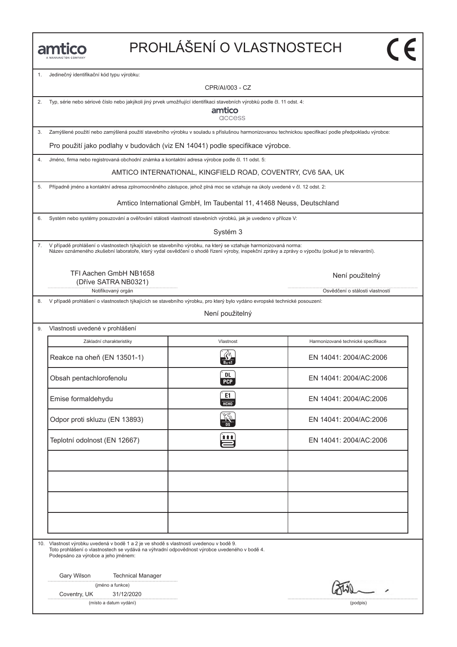# PROHLÁŠENÍ O VLASTNOSTECH

1. Jedinečný identifikační kód typu výrobku:

CPR/AI/003 - CZ

2. Typ, série nebo sériové číslo nebo jakýkoli jiný prvek umožňující identifikaci stavebních výrobků podle čl. 11 odst. 4:

amtico access

3. Zamýšlené použití nebo zamýšlená použití stavebního výrobku v souladu s příslušnou harmonizovanou technickou specifikací podle předpokladu výrobce:

Pro použití jako podlahy v budovách (viz EN 14041) podle specifikace výrobce.

4. Jméno, firma nebo registrovaná obchodní známka a kontaktní adresa výrobce podle čl. 11 odst. 5:

AMTICO INTERNATIONAL, KINGFIELD ROAD, COVENTRY, CV6 5AA, UK

5. Případně jméno a kontaktní adresa zplnomocněného zástupce, jehož plná moc se vztahuje na úkoly uvedené v čl. 12 odst. 2:

Amtico International GmbH, Im Taubental 11, 41468 Neuss, Deutschland

6. Systém nebo systémy posuzování a ověřování stálosti vlastností stavebních výrobků, jak je uvedeno v příloze V:

Systém 3

7. V případě prohlášení o vlastnostech týkajících se stavebního výrobku, na který se vztahuje harmonizovaná norma: Název oznámeného zkušební laboratoře, který vydal osvědčení o shodě řízení výroby, inspekční zprávy a zprávy o výpočtu (pokud je to relevantní).

> TFI Aachen GmbH NB1658 (Dříve SATRA NB0321)

8. V případě prohlášení o vlastnostech týkajících se stavebního výrobku, pro který bylo vydáno evropské technické posouzení:

Není použitelný

| Vlastnosti uvedené v prohlášení |                   |                                     |  |  |  |  |
|---------------------------------|-------------------|-------------------------------------|--|--|--|--|
| Základní charakteristiky        | Vlastnost         | Harmonizované technické specifikace |  |  |  |  |
| Reakce na oheň (EN 13501-1)     |                   | EN 14041: 2004/AC:2006              |  |  |  |  |
| Obsah pentachlorofenolu         | DL.<br><b>PCP</b> | EN 14041: 2004/AC:2006              |  |  |  |  |
| Emise formaldehydu              | E1<br><b>НСНО</b> | EN 14041: 2004/AC:2006              |  |  |  |  |
| Odpor proti skluzu (EN 13893)   |                   | EN 14041: 2004/AC:2006              |  |  |  |  |
| Teplotní odolnost (EN 12667)    | i i i             | EN 14041: 2004/AC:2006              |  |  |  |  |
|                                 |                   |                                     |  |  |  |  |
|                                 |                   |                                     |  |  |  |  |
|                                 |                   |                                     |  |  |  |  |
|                                 |                   |                                     |  |  |  |  |

10. Vlastnost výrobku uvedená v bodě 1 a 2 je ve shodě s vlastností uvedenou v bodě 9. Toto prohlášení o vlastnostech se vydává na výhradní odpovědnost výrobce uvedeného v bodě 4. Podepsáno za výrobce a jeho jménem:

Gary Wilson Technical Manager

|  |  | (jméno a funkce) |  |
|--|--|------------------|--|
|--|--|------------------|--|

Coventry, UK 31/12/2020

(místo a datum vydání) (podpis)

Notifikovaný orgán **Osvědčení o stálosti vlastností vlastností vlastností vlastností vlastností vlastností vlastností vlastností vlastností vlastností vlastností vlastností vlastností vlastností vlastností vlastností vlast** Není použitelný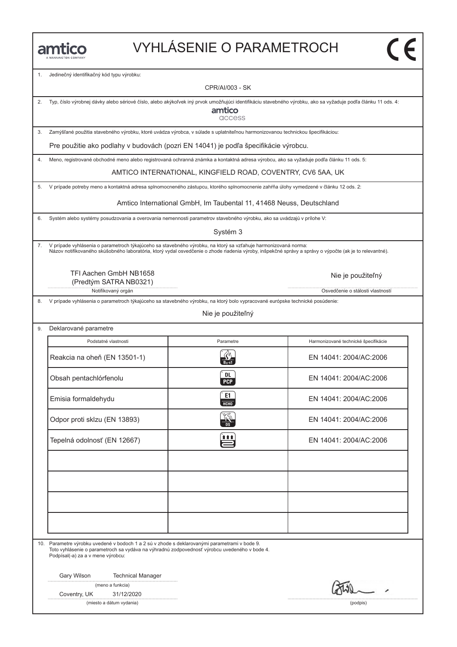### VYHLÁSENIE O PARAMETROCH

1. Jedinečný identifikačný kód typu výrobku:

CPR/AI/003 - SK

amtico access

2. Typ, číslo výrobnej dávky alebo sériové číslo, alebo akýkoľvek iný prvok umožňujúci identifikáciu stavebného výrobku, ako sa vyžaduje podľa článku 11 ods. 4:

3. Zamýšľané použitia stavebného výrobku, ktoré uvádza výrobca, v súlade s uplatniteľnou harmonizovanou technickou špecifikáciou:

Pre použitie ako podlahy v budovách (pozri EN 14041) je podľa špecifikácie výrobcu.

4. Meno, registrované obchodné meno alebo registrovaná ochranná známka a kontaktná adresa výrobcu, ako sa vyžaduje podľa článku 11 ods. 5:

AMTICO INTERNATIONAL, KINGFIELD ROAD, COVENTRY, CV6 5AA, UK

5. V prípade potreby meno a kontaktná adresa splnomocneného zástupcu, ktorého splnomocnenie zahŕňa úlohy vymedzené v článku 12 ods. 2:

Amtico International GmbH, Im Taubental 11, 41468 Neuss, Deutschland

6. Systém alebo systémy posudzovania a overovania nemennosti parametrov stavebného výrobku, ako sa uvádzajú v prílohe V:

Systém 3

7. V prípade vyhlásenia o parametroch týkajúceho sa stavebného výrobku, na ktorý sa vzťahuje harmonizovaná norma: Názov notifikovaného skúšobného laboratória, ktorý vydal osvedčenie o zhode riadenia výroby, inšpekčné správy a správy o výpočte (ak je to relevantné).

TFI Aachen GmbH NB1658 (Predtým SATRA NB0321)

Notifikovaný orgán **Osvetlandia** Osvetlánia od Osvetlánia od Osvetlánia od Osvetlánia o stálosti vlastností

8. V prípade vyhlásenia o parametroch týkajúceho sa stavebného výrobku, na ktorý bolo vypracované európske technické posúdenie:

Nie je použiteľný

9. Deklarované parametre Podstatné vlastnosti **Parametre** Harmonizované technické špecifikácie Podstatné vlastnosti Parametre Harmonizované technické špecifikácie<br>Reakcia na oheň (EN 13501-1) Reakcia na oheň (EN 13501-1) R EN 14041: 2004/AC:2006 Reakcia na oheň (EN 13501-1)<br>
Obsah pentachlórfenolu (EN 14041: 2004/AC:2006<br>
Obsah pentachlórfenolu (EN 14041: 2004/AC:2006 Emisia formaldehydu c EN 14041: 2004/AC:2006<br>Emisia formaldehydu c EN 14041: 2004/AC:2006 Emisia formaldehydu EN 14041: 2004/AC:2006<br>
Odpor proti sklzu (EN 13893)  $\frac{204}{100}$  EN 14041: 2004/AC:2006 Odpor proti skizu (EN 13893)<br>
Tepelná odolnosť (EN 12667)<br>
EN 14041: 2004/AC:2006

10. Parametre výrobku uvedené v bodoch 1 a 2 sú v zhode s deklarovanými parametrami v bode 9. Toto vyhlásenie o parametroch sa vydáva na výhradnú zodpovednosť výrobcu uvedeného v bode 4. Podpísal(-a) za a v mene výrobcu:

Gary Wilson Technical Manager

(meno a funkcia)

Coventry, UK 31/12/2020

(miesto a dátum vydania) (podpis)

Nie je použiteľný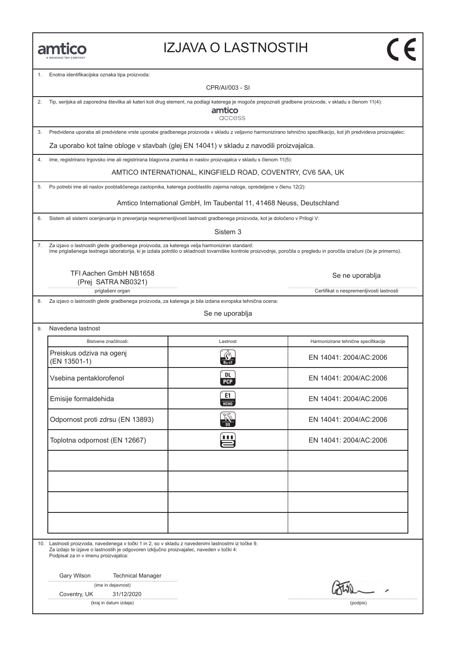#### IZJAVA O LASTNOSTIH

1. Enotna identifikacijska oznaka tipa proizvoda:

CPR/AI/003 - SI

2. Tip, serijska ali zaporedna številka ali kateri koli drug element, na podlagi katerega je mogoče prepoznati gradbene proizvode, v skladu s členom 11(4):

amtico access

3. Predvidena uporaba ali predvidene vrste uporabe gradbenega proizvoda v skladu z veljavno harmonizirano tehnično specifikacijo, kot jih predvideva proizvajalec:

Za uporabo kot talne obloge v stavbah (glej EN 14041) v skladu z navodili proizvajalca.

4. Ime, registrirano trgovsko ime ali registrirana blagovna znamka in naslov proizvajalca v skladu s členom 11(5):

AMTICO INTERNATIONAL, KINGFIELD ROAD, COVENTRY, CV6 5AA, UK

5. Po potrebi ime ali naslov pooblaščenega zastopnika, katerega pooblastilo zajema naloge, opredeljene v členu 12(2):

Amtico International GmbH, Im Taubental 11, 41468 Neuss, Deutschland

6. Sistem ali sistemi ocenjevanja in preverjanja nespremenljivosti lastnosti gradbenega proizvoda, kot je določeno v Prilogi V:

Sistem 3

7. Za izjavo o lastnostih glede gradbenega proizvoda, za katerega velja harmoniziran standard: Ime priglašenega testnega laboratorija, ki je izdala potrdilo o skladnosti tovarniške kontrole proizvodnje, poročila o pregledu in poročila izračuni (če je primerno).

TFI Aachen GmbH NB1658 (Prej SATRA NB0321)

priglašeni organ **Certifikat o nespremenljivosti lastnosti** Certifikat o nespremenljivosti lastnosti

8. Za izjavo o lastnostih glede gradbenega proizvoda, za katerega je bila izdana evropska tehnična ocena:

Se ne uporablja

9. Navedena lastnost

Bistvene značilnosti: Lastnost Harmonizirane tehnične specifikacije Preiskus odziva na ogenj Bistvene značilnosti:<br>
Preiskus odziva na ogenj<br>
(EN 13501-1) R EN 14041: 2004/AC:2006 EN 14041: 2004/AC:2006<br>
Vsebina pentaklorofenol (EN 13501-1)<br>
Vsebina pentaklorofenol (EN 14041: 2004/AC:2006 EM 14041: 2004/AC:2006<br>Emisije formaldehida c EN 14041: 2004/AC:2006<br>Emisije formaldehida c EN 14041: 2004/AC:2006 Emisije formaldehida EN 14041: 2004/AC:2006<br>
Odpornost proti zdrsu (EN 13893)  $\frac{260}{100}$  EN 14041: 2004/AC:2006 Odpornost proti zdrsu (EN 13893)<br>
Toplotna odpornost (EN 12667)<br>
EN 14041: 2004/AC:2006

10. Lastnosti proizvoda, navedenega v točki 1 in 2, so v skladu z navedenimi lastnostmi iz točke 9. Za izdajo te izjave o lastnostih je odgovoren izključno proizvajalec, naveden v točki 4: Podpisal za in v imenu proizvajalca:

Gary Wilson Technical Manager

(ime in dejavnost)

Coventry, UK 31/12/2020

(kraj in datum izdaje) (podpis)

Se ne uporablja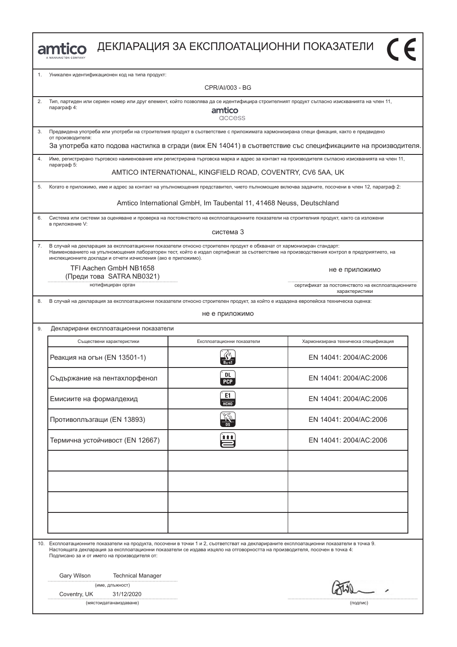|    | amtico                                                                                                                                                                                                                                                                                                                  | ДЕКЛАРАЦИЯ ЗА ЕКСПЛОАТАЦИОННИ ПОКАЗАТЕЛИ                             |                                                                                                                                                 |  |  |
|----|-------------------------------------------------------------------------------------------------------------------------------------------------------------------------------------------------------------------------------------------------------------------------------------------------------------------------|----------------------------------------------------------------------|-------------------------------------------------------------------------------------------------------------------------------------------------|--|--|
| 1. | Уникален идентификационен код на типа продукт:                                                                                                                                                                                                                                                                          |                                                                      |                                                                                                                                                 |  |  |
|    |                                                                                                                                                                                                                                                                                                                         | CPR/AI/003 - BG                                                      |                                                                                                                                                 |  |  |
| 2. | Тип, партиден или сериен номер или друг елемент, който позволява да се идентифицира строителният продукт съгласно изискванията на член 11,<br>параграф 4:                                                                                                                                                               | amtico<br>access                                                     |                                                                                                                                                 |  |  |
| 3. | Предвидена употреба или употреби на строителния продукт в съответствие с приложимата хармонизирана специ фикация, както е предвидено<br>от производителя:                                                                                                                                                               |                                                                      |                                                                                                                                                 |  |  |
|    |                                                                                                                                                                                                                                                                                                                         |                                                                      | За употреба като подова настилка в сгради (виж EN 14041) в съответствие със спецификациите на производителя.                                    |  |  |
| 4. | параграф 5:                                                                                                                                                                                                                                                                                                             |                                                                      | Име, регистрирано търговско наименование или регистрирана търговска марка и адрес за контакт на производителя съгласно изискванията на член 11, |  |  |
|    |                                                                                                                                                                                                                                                                                                                         | AMTICO INTERNATIONAL, KINGFIELD ROAD, COVENTRY, CV6 5AA, UK          |                                                                                                                                                 |  |  |
| 5. |                                                                                                                                                                                                                                                                                                                         |                                                                      | Когато е приложимо, име и адрес за контакт на упълномощения представител, чието пълномощие включва задачите, посочени в член 12, параграф 2:    |  |  |
|    |                                                                                                                                                                                                                                                                                                                         | Amtico International GmbH, Im Taubental 11, 41468 Neuss, Deutschland |                                                                                                                                                 |  |  |
| 6. | Система или системи за оценяване и проверка на постоянството на експлоатационните показатели на строителния продукт, както са изложени<br>в приложение V:                                                                                                                                                               |                                                                      |                                                                                                                                                 |  |  |
|    |                                                                                                                                                                                                                                                                                                                         | система 3                                                            |                                                                                                                                                 |  |  |
| 7. | В случай на декларация за експлоатационни показатели относно строителен продукт е обхванат от хармонизиран стандарт:<br>инспекционните доклади и отчети изчисления (ако е приложимо).                                                                                                                                   |                                                                      | Наименованието на упълномощения лабораторен тест, който е издал сертификат за съответствие на производствения контрол в предприятието, на       |  |  |
|    | TFI Aachen GmbH NB1658<br>(Преди това SATRA NB0321)                                                                                                                                                                                                                                                                     |                                                                      | не е приложимо                                                                                                                                  |  |  |
|    | нотифициран орган                                                                                                                                                                                                                                                                                                       |                                                                      | сертификат за постоянството на експлоатационните<br>характеристики                                                                              |  |  |
| 8. | В случай на декларация за експлоатационни показатели относно строителен продукт, за който е издадена европейска техническа оценка:<br>не е приложимо                                                                                                                                                                    |                                                                      |                                                                                                                                                 |  |  |
| 9. | Декларирани експлоатационни показатели                                                                                                                                                                                                                                                                                  |                                                                      |                                                                                                                                                 |  |  |
|    | Съществени характеристики                                                                                                                                                                                                                                                                                               | Експлоатационни показатели                                           | Хармонизирана техническа спецификация                                                                                                           |  |  |
|    | Реакция на огън (EN 13501-1)                                                                                                                                                                                                                                                                                            |                                                                      | FN 14041: 2004/AC:2006                                                                                                                          |  |  |
|    | Съдържание на пентахлорфенол                                                                                                                                                                                                                                                                                            | DL.<br><b>PCP</b>                                                    | EN 14041: 2004/AC:2006                                                                                                                          |  |  |
|    | Емисиите на формалдехид                                                                                                                                                                                                                                                                                                 | E1<br>НСНО                                                           | EN 14041: 2004/AC:2006                                                                                                                          |  |  |
|    | Противоплъзгащи (EN 13893)                                                                                                                                                                                                                                                                                              |                                                                      | EN 14041: 2004/AC:2006                                                                                                                          |  |  |
|    | Термична устойчивост (EN 12667)                                                                                                                                                                                                                                                                                         | 自自自                                                                  | EN 14041: 2004/AC:2006                                                                                                                          |  |  |
|    |                                                                                                                                                                                                                                                                                                                         |                                                                      |                                                                                                                                                 |  |  |
|    |                                                                                                                                                                                                                                                                                                                         |                                                                      |                                                                                                                                                 |  |  |
|    |                                                                                                                                                                                                                                                                                                                         |                                                                      |                                                                                                                                                 |  |  |
|    |                                                                                                                                                                                                                                                                                                                         |                                                                      |                                                                                                                                                 |  |  |
|    | 10. Експлоатационните показатели на продукта, посочени в точки 1 и 2, съответстват на декларираните експлоатационни показатели в точка 9.<br>Настоящата декларация за експлоатационни показатели се издава изцяло на отговорността на производителя, посочен в точка 4:<br>Подписано за и от името на производителя от: |                                                                      |                                                                                                                                                 |  |  |
|    | Gary Wilson<br><b>Technical Manager</b><br>(име, длъжност)                                                                                                                                                                                                                                                              |                                                                      |                                                                                                                                                 |  |  |
|    | Coventry, UK<br>31/12/2020<br>(мястоидатанаиздаване)<br>(подпис)                                                                                                                                                                                                                                                        |                                                                      |                                                                                                                                                 |  |  |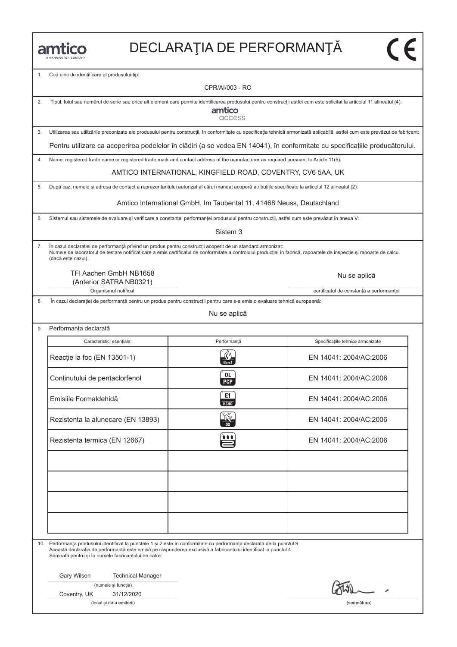1. Cod unic de identificare al produsului-tip:

CPR/AI/003 - RO

| 2. | Tipul, lotul sau numărul de serie sau orice alt element care permite identificarea produsului pentru construcții astfel cum este solicitat la articolul 11 alineatul (4):<br>amtico<br>access                                                                                                               |                                                                                                                                            |                                          |  |  |
|----|-------------------------------------------------------------------------------------------------------------------------------------------------------------------------------------------------------------------------------------------------------------------------------------------------------------|--------------------------------------------------------------------------------------------------------------------------------------------|------------------------------------------|--|--|
| 3. | Utilizarea sau utilizările preconizate ale produsului pentru construcții, în conformitate cu specificația tehnică armonizată aplicabilă, astfel cum este prevăzut de fabricant:                                                                                                                             |                                                                                                                                            |                                          |  |  |
|    | Pentru utilizare ca acoperirea podelelor în clădiri (a se vedea EN 14041), în conformitate cu specificațiile producătorului.                                                                                                                                                                                |                                                                                                                                            |                                          |  |  |
| 4. | Name, registered trade name or registered trade mark and contact address of the manufacturer as required pursuant to Article 11(5):                                                                                                                                                                         |                                                                                                                                            |                                          |  |  |
|    |                                                                                                                                                                                                                                                                                                             | AMTICO INTERNATIONAL, KINGFIELD ROAD, COVENTRY, CV6 5AA, UK                                                                                |                                          |  |  |
| 5. | După caz, numele și adresa de contact a reprezentantului autorizat al cărui mandat acoperă atribuțiile specificate la articolul 12 alineatul (2):                                                                                                                                                           |                                                                                                                                            |                                          |  |  |
|    |                                                                                                                                                                                                                                                                                                             | Amtico International GmbH, Im Taubental 11, 41468 Neuss, Deutschland                                                                       |                                          |  |  |
| 6. | Sistemul sau sistemele de evaluare și verificare a constanței performanței produsului pentru construcții, astfel cum este prevăzut în anexa V:                                                                                                                                                              |                                                                                                                                            |                                          |  |  |
|    |                                                                                                                                                                                                                                                                                                             | Sistem <sub>3</sub>                                                                                                                        |                                          |  |  |
| 7. | În cazul declarației de performanță privind un produs pentru construcții acoperit de un standard armonizat:<br>Numele de laboratorul de testare notificat care a emis certificatul de conformitate a controlului productiei în fabrică, rapoartele de inspectie si rapoarte de calcul<br>(dacă este cazul). |                                                                                                                                            |                                          |  |  |
|    | TFI Aachen GmbH NB1658<br>(Anterior SATRA NB0321)                                                                                                                                                                                                                                                           |                                                                                                                                            | Nu se aplică                             |  |  |
|    | Organismul notificat                                                                                                                                                                                                                                                                                        |                                                                                                                                            | certificatul de constantă a performantei |  |  |
| 8. |                                                                                                                                                                                                                                                                                                             | În cazul declarației de performanță pentru un produs pentru construcții pentru care s-a emis o evaluare tehnică europeană:<br>Nu se aplică |                                          |  |  |
|    |                                                                                                                                                                                                                                                                                                             |                                                                                                                                            |                                          |  |  |
| 9. | Performanța declarată                                                                                                                                                                                                                                                                                       |                                                                                                                                            |                                          |  |  |
|    | Caracteristici esențiale:                                                                                                                                                                                                                                                                                   | Performanță                                                                                                                                | Specificațiile tehnice armonizate        |  |  |
|    | Reacție la foc (EN 13501-1)                                                                                                                                                                                                                                                                                 |                                                                                                                                            | EN 14041: 2004/AC:2006                   |  |  |
|    | Conținutului de pentaclorfenol                                                                                                                                                                                                                                                                              | DL<br><b>PCP</b>                                                                                                                           | EN 14041: 2004/AC:2006                   |  |  |
|    | Emisiile Formaldehidă                                                                                                                                                                                                                                                                                       | E1<br>НСНО                                                                                                                                 | EN 14041: 2004/AC:2006                   |  |  |
|    | Rezistenta la alunecare (EN 13893)                                                                                                                                                                                                                                                                          |                                                                                                                                            | EN 14041: 2004/AC:2006                   |  |  |
|    | Rezistenta termica (EN 12667)                                                                                                                                                                                                                                                                               | <u>fitt</u>                                                                                                                                | EN 14041: 2004/AC:2006                   |  |  |
|    |                                                                                                                                                                                                                                                                                                             |                                                                                                                                            |                                          |  |  |
|    |                                                                                                                                                                                                                                                                                                             |                                                                                                                                            |                                          |  |  |
|    |                                                                                                                                                                                                                                                                                                             |                                                                                                                                            |                                          |  |  |
|    |                                                                                                                                                                                                                                                                                                             |                                                                                                                                            |                                          |  |  |
|    |                                                                                                                                                                                                                                                                                                             |                                                                                                                                            |                                          |  |  |
|    | 10. Performanța produsului identificat la punctele 1 și 2 este în conformitate cu performanța declarată de la punctul 9<br>Această declarație de performanță este emisă pe răspunderea exclusivă a fabricantului identificat la punctul 4<br>Semnată pentru și în numele fabricantului de către:            |                                                                                                                                            |                                          |  |  |
|    | Gary Wilson<br><b>Technical Manager</b>                                                                                                                                                                                                                                                                     |                                                                                                                                            |                                          |  |  |
|    | (numele și funcția)<br>Coventry, UK<br>31/12/2020                                                                                                                                                                                                                                                           |                                                                                                                                            |                                          |  |  |
|    | (locul și data emiterii)<br>(semnătura)                                                                                                                                                                                                                                                                     |                                                                                                                                            |                                          |  |  |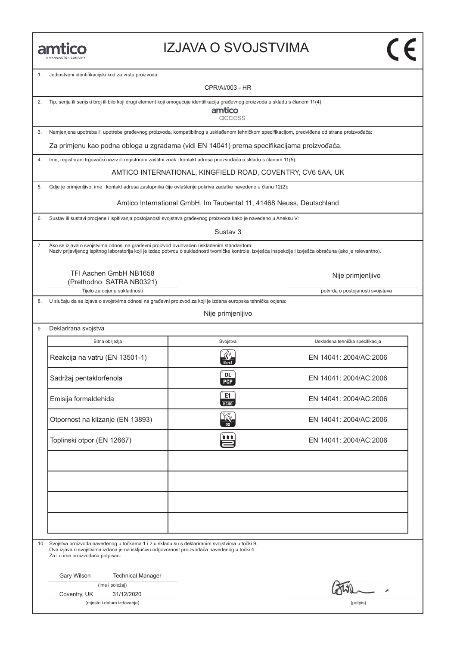#### IZJAVA O SVOJSTVIMA

1. Jedinstveni identifikacijski kod za vrstu proizvoda:

CPR/AI/003 - HR

2. Tip, serija ili serijski broj ili bilo koji drugi element koji omogućuje identifikaciju građevnog proizvoda u skladu s članom 11(4):

amtico access

3. Namjenjena upotreba ili upotrebe građevnog proizvoda, kompatibilnog s usklađenom tehničkom specifikacijom, predviđena od strane proizvođača:

Za primjenu kao podna obloga u zgradama (vidi EN 14041) prema specifikacijama proizvođača.

4. Ime, registrirani trgovački naziv ili registrirani zaštitni znak i kontakt adresa proizvođača u skladu s članom 11(5):

AMTICO INTERNATIONAL, KINGFIELD ROAD, COVENTRY, CV6 5AA, UK

5. Gdje je primjenljivo, ime i kontakt adresa zastupnika čije ovlaštenje pokriva zadatke navedene u članu 12(2):

Amtico International GmbH, Im Taubental 11, 41468 Neuss, Deutschland

6. Sustav ili sustavi procjene i ispitivanja postojanosti svojstava građevnog proizvoda kako je navedeno u Aneksu V:

Sustav 3

7. Ako se izjava o svojstvima odnosi na građevni proizvod ovuhvaćen usklađenim standardom: Naziv prijavljenog ispitnog laboratorija koji je izdao potvrdu o sukladnosti tvorničke kontrole, izvješća inspekcije i izvješća obračuna (ako je relevantno).

TFI Aachen GmbH NB1658 (Prethodno SATRA NB0321)

Tijelo za ocjenu sukladnosti **potvrda o postojanosti svojstava** potvrda o postojanosti svojstava

8. U slučaju da se izjava o svojstvima odnosi na građevni proizvod za koji je izdana europska tehnička ocjena:

Nije primjenljivo

9. Deklarirana svojstva

Bitna obilježja **Svojstva** Svojstva Usklađena tehnička specifikacija Bitna obilježja Svojstva Usklađena tehnička specifikacija<br>Reakcija na vatru (EN 13501-1) Reakcija<br>EN 14041: 2004/AC:2006 Reakcija na vatru (EN 13501-1)<br>
Sadržaj pentaklorfenola (BL) EN 14041: 2004/AC:2006<br>
EN 14041: 2004/AC:2006 EM 14041: 2004/AC:2006<br>
Emisija formaldehida c EN 14041: 2004/AC:2006<br>
Emisija formaldehida c EN 14041: 2004/AC:2006 Emisija formaldehida EN 14041: 2004/AC:2006<br>
Otpornost na klizanje (EN 13893)  $\frac{260}{100}$  EN 14041: 2004/AC:2006 Otpornost na klizanje (EN 13893)<br>
Toplinski otpor (EN 12667)<br>
Toplinski otpor (EN 12667)<br>
EN 14041: 2004/AC:2006

10. Svojstva proizvoda navedenog u točkama 1 i 2 u skladu su s deklariranim svojstvima u točki 9. Ova izjava o svojstvima izdana je na isključivu odgovornost proizvođača navedenog u točki 4 Za i u ime proizvođača potpisao:

Gary Wilson Technical Manager

|  | (ime i položaj) |
|--|-----------------|
|--|-----------------|

Coventry, UK 31/12/2020

(mjesto i datum izdavanja) (potpis)

Nije primjenljivo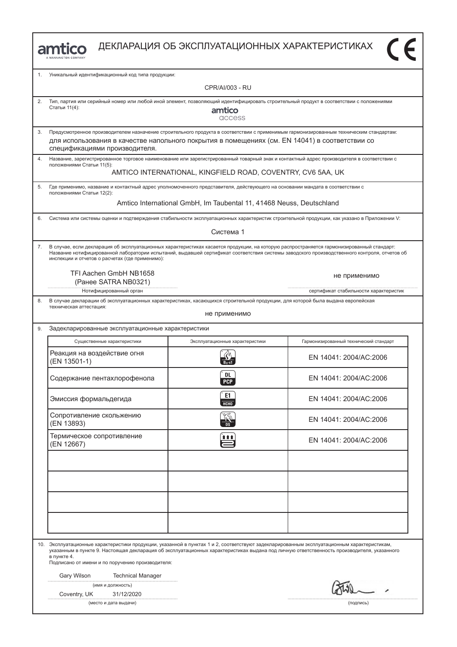

| 1. | Уникальный идентификационный код типа продукции:                                                                                                                                                                                                                                                                                                             |                                                                      |                                                                                                                                             |  |  |
|----|--------------------------------------------------------------------------------------------------------------------------------------------------------------------------------------------------------------------------------------------------------------------------------------------------------------------------------------------------------------|----------------------------------------------------------------------|---------------------------------------------------------------------------------------------------------------------------------------------|--|--|
|    | CPR/AI/003 - RU                                                                                                                                                                                                                                                                                                                                              |                                                                      |                                                                                                                                             |  |  |
| 2. | Тип, партия или серийный номер или любой иной элемент, позволяющий идентифицировать строительный продукт в соответствии с положениями<br>Статьи 11(4):<br>amtico<br>access                                                                                                                                                                                   |                                                                      |                                                                                                                                             |  |  |
| 3. | Предусмотренное производителем назначение строительного продукта в соответствии с применимым гармонизированным техническим стандартам:<br>для использования в качестве напольного покрытия в помещениях (см. EN 14041) в соответствии со<br>спецификациями производителя.                                                                                    |                                                                      |                                                                                                                                             |  |  |
| 4. | Название, зарегистрированное торговое наименование или зарегистрированный товарный знак и контактный адрес производителя в соответствии с<br>положениями Статьи 11(5):                                                                                                                                                                                       | AMTICO INTERNATIONAL, KINGFIELD ROAD, COVENTRY, CV6 5AA, UK          |                                                                                                                                             |  |  |
| 5. | Где применимо, название и контактный адрес уполномоченного представителя, действующего на основании мандата в соответствии с                                                                                                                                                                                                                                 |                                                                      |                                                                                                                                             |  |  |
|    | положениями Статьи 12(2):                                                                                                                                                                                                                                                                                                                                    | Amtico International GmbH, Im Taubental 11, 41468 Neuss, Deutschland |                                                                                                                                             |  |  |
| 6. | Система или системы оценки и подтверждения стабильности эксплуатационных характеристик строительной продукции, как указано в Приложении V:                                                                                                                                                                                                                   |                                                                      |                                                                                                                                             |  |  |
|    |                                                                                                                                                                                                                                                                                                                                                              | Система 1                                                            |                                                                                                                                             |  |  |
| 7. | В случае, если декларация об эксплуатационных характеристиках касается продукции, на которую распространяется гармонизированный стандарт:<br>инспекции и отчетов о расчетах (где применимо):                                                                                                                                                                 |                                                                      | Название нотифицированной лаборатории испытаний, выдавшей сертификат соответствия системы заводского производственного контроля, отчетов об |  |  |
|    | TFI Aachen GmbH NB1658<br>(Ранее SATRA NB0321)                                                                                                                                                                                                                                                                                                               |                                                                      | не применимо                                                                                                                                |  |  |
|    | Нотифицированный орган                                                                                                                                                                                                                                                                                                                                       |                                                                      | сертификат стабильности характеристик                                                                                                       |  |  |
| 8. | В случае декларации об эксплуатационных характеристиках, касающихся строительной продукции, для которой была выдана европейская<br>техническая аттестация:                                                                                                                                                                                                   | не применимо                                                         |                                                                                                                                             |  |  |
| 9. | Задекларированные эксплуатационные характеристики                                                                                                                                                                                                                                                                                                            |                                                                      |                                                                                                                                             |  |  |
|    | Существенные характеристики                                                                                                                                                                                                                                                                                                                                  | Эксплуатационные характеристики                                      | Гармонизированный технический стандарт                                                                                                      |  |  |
|    | Реакция на воздействие огня<br>(EN 13501-1)                                                                                                                                                                                                                                                                                                                  |                                                                      | EN 14041: 2004/AC:2006                                                                                                                      |  |  |
|    | Содержание пентахлорофенола                                                                                                                                                                                                                                                                                                                                  | DL.<br><b>PCP</b>                                                    | EN 14041: 2004/AC:2006                                                                                                                      |  |  |
|    | Эмиссия формальдегида                                                                                                                                                                                                                                                                                                                                        | E1<br><b>HCHO</b>                                                    | EN 14041: 2004/AC:2006                                                                                                                      |  |  |
|    | Сопротивление скольжению<br>(EN 13893)                                                                                                                                                                                                                                                                                                                       | ি⊘ে                                                                  | EN 14041: 2004/AC:2006                                                                                                                      |  |  |
|    | Термическое сопротивление<br>(EN 12667)                                                                                                                                                                                                                                                                                                                      | 111                                                                  | EN 14041: 2004/AC:2006                                                                                                                      |  |  |
|    |                                                                                                                                                                                                                                                                                                                                                              |                                                                      |                                                                                                                                             |  |  |
|    |                                                                                                                                                                                                                                                                                                                                                              |                                                                      |                                                                                                                                             |  |  |
|    | 10. Эксплуатационные характеристики продукции, указанной в пунктах 1 и 2, соответствуют задекларированным эксплуатационным характеристикам,<br>указанным в пункте 9. Настоящая декларация об эксплуатационных характеристиках выдана под личную ответственность производителя, указанного<br>в пункте 4.<br>Подписано от имени и по поручению производителя: |                                                                      |                                                                                                                                             |  |  |
|    | Gary Wilson<br><b>Technical Manager</b><br>(имя и должность)<br>Coventry, UK<br>31/12/2020                                                                                                                                                                                                                                                                   |                                                                      |                                                                                                                                             |  |  |
|    | (место и дата выдачи)<br>(подпись)                                                                                                                                                                                                                                                                                                                           |                                                                      |                                                                                                                                             |  |  |